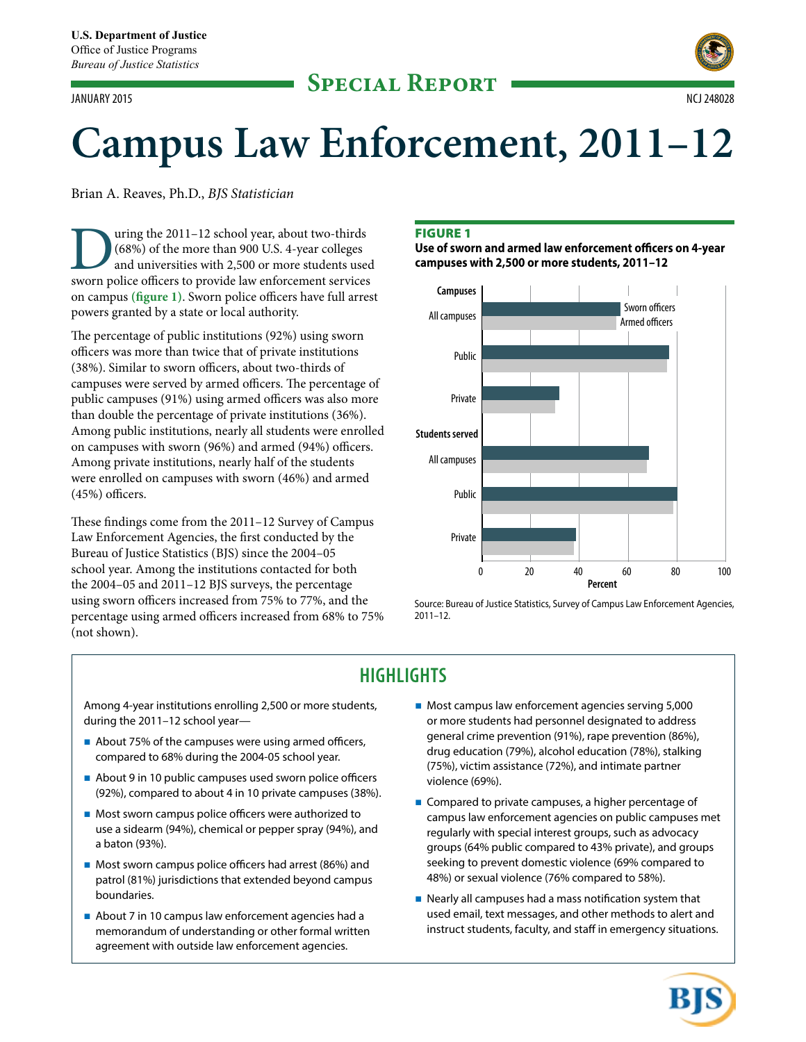# **Special Report** JANUARY 2015 NCJ 248028



# **Campus Law Enforcement, 2011–12**

Brian A. Reaves, Ph.D., *BJS Statistician*

US uring the 2011–12 school year, about two-thirds (68%) of the more than 900 U.S. 4-year colleges and universities with 2,500 or more students used sworn police officers to provide law enforcement services (68%) of the more than 900 U.S. 4-year colleges and universities with 2,500 or more students used on campus **(figure 1)**. Sworn police officers have full arrest powers granted by a state or local authority.

The percentage of public institutions (92%) using sworn officers was more than twice that of private institutions (38%). Similar to sworn officers, about two-thirds of campuses were served by armed officers. The percentage of public campuses (91%) using armed officers was also more than double the percentage of private institutions (36%). Among public institutions, nearly all students were enrolled on campuses with sworn (96%) and armed (94%) officers. Among private institutions, nearly half of the students were enrolled on campuses with sworn (46%) and armed (45%) officers.

These findings come from the 2011–12 Survey of Campus Law Enforcement Agencies, the first conducted by the Bureau of Justice Statistics (BJS) since the 2004–05 school year. Among the institutions contacted for both the 2004–05 and 2011–12 BJS surveys, the percentage using sworn officers increased from 75% to 77%, and the percentage using armed officers increased from 68% to 75% (not shown).

# Figure 1

**Use of sworn and armed law enforcement officers on 4-year campuses with 2,500 or more students, 2011–12**



Source: Bureau of Justice Statistics, Survey of Campus Law Enforcement Agencies, 2011–12.

# **HIGHLIGHTS**

Among 4-year institutions enrolling 2,500 or more students, during the 2011–12 school year—

- About 75% of the campuses were using armed officers, compared to 68% during the 2004-05 school year.
- About 9 in 10 public campuses used sworn police officers (92%), compared to about 4 in 10 private campuses (38%).
- **Most sworn campus police officers were authorized to** use a sidearm (94%), chemical or pepper spray (94%), and a baton (93%).
- **Most sworn campus police officers had arrest (86%) and** patrol (81%) jurisdictions that extended beyond campus boundaries.
- About 7 in 10 campus law enforcement agencies had a memorandum of understanding or other formal written agreement with outside law enforcement agencies.
- **Most campus law enforcement agencies serving 5,000** or more students had personnel designated to address general crime prevention (91%), rape prevention (86%), drug education (79%), alcohol education (78%), stalking (75%), victim assistance (72%), and intimate partner violence (69%).
- Compared to private campuses, a higher percentage of campus law enforcement agencies on public campuses met regularly with special interest groups, such as advocacy groups (64% public compared to 43% private), and groups seeking to prevent domestic violence (69% compared to 48%) or sexual violence (76% compared to 58%).
- Nearly all campuses had a mass notification system that used email, text messages, and other methods to alert and instruct students, faculty, and staff in emergency situations.

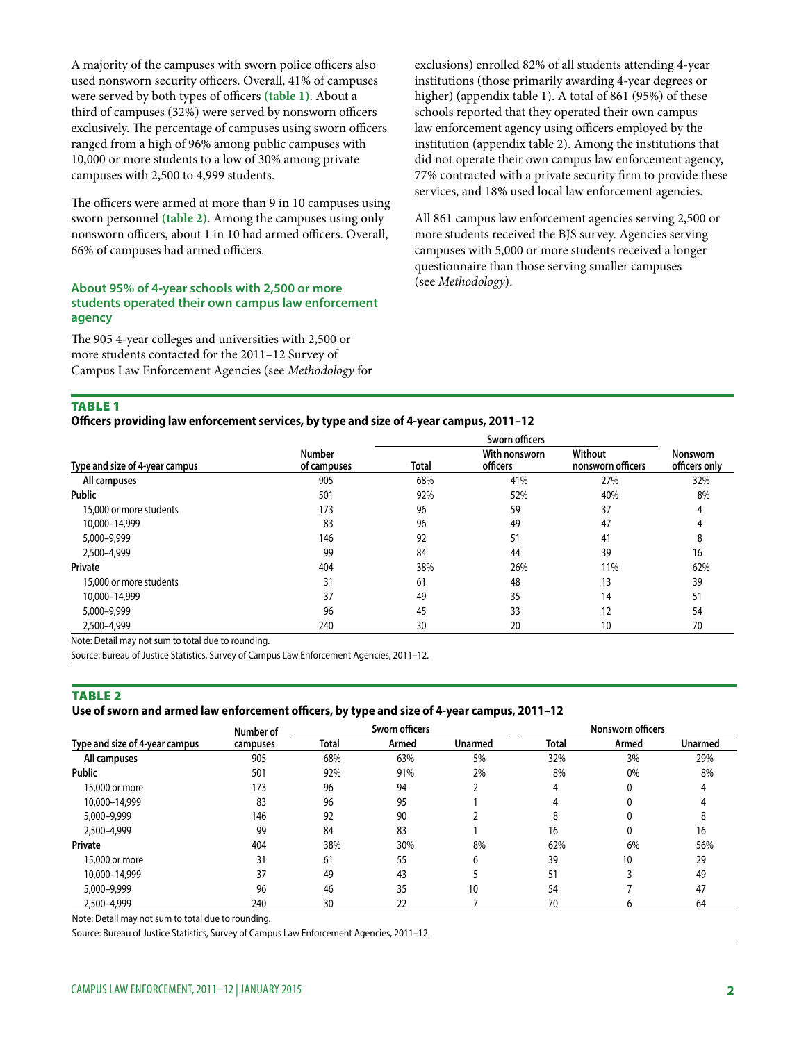A majority of the campuses with sworn police officers also used nonsworn security officers. Overall, 41% of campuses were served by both types of officers **(table 1)**. About a third of campuses (32%) were served by nonsworn officers exclusively. The percentage of campuses using sworn officers ranged from a high of 96% among public campuses with 10,000 or more students to a low of 30% among private campuses with 2,500 to 4,999 students.

The officers were armed at more than 9 in 10 campuses using sworn personnel **(table 2)**. Among the campuses using only nonsworn officers, about 1 in 10 had armed officers. Overall, 66% of campuses had armed officers.

#### **About 95% of 4-year schools with 2,500 or more students operated their own campus law enforcement agency**

The 905 4-year colleges and universities with 2,500 or more students contacted for the 2011–12 Survey of Campus Law Enforcement Agencies (see *Methodology* for exclusions) enrolled 82% of all students attending 4-year institutions (those primarily awarding 4-year degrees or higher) (appendix table 1). A total of 861 (95%) of these schools reported that they operated their own campus law enforcement agency using officers employed by the institution (appendix table 2). Among the institutions that did not operate their own campus law enforcement agency, 77% contracted with a private security firm to provide these services, and 18% used local law enforcement agencies.

All 861 campus law enforcement agencies serving 2,500 or more students received the BJS survey. Agencies serving campuses with 5,000 or more students received a longer questionnaire than those serving smaller campuses (see *Methodology*).

# **TABLE 1**

**Officers providing law enforcement services, by type and size of 4-year campus, 2011–12**

|                                |                              | Sworn officers |                           |                              |                           |  |  |
|--------------------------------|------------------------------|----------------|---------------------------|------------------------------|---------------------------|--|--|
| Type and size of 4-year campus | <b>Number</b><br>of campuses | Total          | With nonsworn<br>officers | Without<br>nonsworn officers | Nonsworn<br>officers only |  |  |
| All campuses                   | 905                          | 68%            | 41%                       | 27%                          | 32%                       |  |  |
| <b>Public</b>                  | 501                          | 92%            | 52%                       | 40%                          | 8%                        |  |  |
| 15,000 or more students        | 173                          | 96             | 59                        | 37                           |                           |  |  |
| 10.000-14.999                  | 83                           | 96             | 49                        | 47                           |                           |  |  |
| 5,000-9,999                    | 146                          | 92             | 51                        | 41                           | χ.                        |  |  |
| 2,500-4,999                    | 99                           | 84             | 44                        | 39                           | 16                        |  |  |
| Private                        | 404                          | 38%            | 26%                       | 11%                          | 62%                       |  |  |
| 15,000 or more students        | 31                           | 61             | 48                        | 13                           | 39                        |  |  |
| 10.000-14.999                  | 37                           | 49             | 35                        | 14                           | 51                        |  |  |
| 5,000-9,999                    | 96                           | 45             | 33                        | 12                           | 54                        |  |  |
| 2.500-4.999                    | 240                          | 30             | 20                        | 10                           | 70                        |  |  |

Note: Detail may not sum to total due to rounding.

Source: Bureau of Justice Statistics, Survey of Campus Law Enforcement Agencies, 2011–12.

#### TABLE<sub>2</sub>

#### **Use of sworn and armed law enforcement officers, by type and size of 4-year campus, 2011–12**

|                                | Number of | <b>Sworn officers</b> |       |                | Nonsworn officers |       |         |
|--------------------------------|-----------|-----------------------|-------|----------------|-------------------|-------|---------|
| Type and size of 4-year campus | campuses  | Total                 | Armed | <b>Unarmed</b> | Total             | Armed | Unarmed |
| All campuses                   | 905       | 68%                   | 63%   | 5%             | 32%               | 3%    | 29%     |
| Public                         | 501       | 92%                   | 91%   | 2%             | 8%                | 0%    | 8%      |
| 15,000 or more                 | 173       | 96                    | 94    |                | 4                 | 0     |         |
| 10,000-14,999                  | 83        | 96                    | 95    |                | 4                 |       |         |
| 5,000-9,999                    | 146       | 92                    | 90    |                | 8                 |       |         |
| 2,500-4,999                    | 99        | 84                    | 83    |                | 16                |       | 16      |
| Private                        | 404       | 38%                   | 30%   | 8%             | 62%               | 6%    | 56%     |
| 15,000 or more                 | 31        | 61                    | 55    | 6              | 39                | 10    | 29      |
| 10,000-14,999                  | 37        | 49                    | 43    |                | 51                |       | 49      |
| 5,000-9,999                    | 96        | 46                    | 35    | 10             | 54                |       | 47      |
| 2,500-4,999                    | 240       | 30                    | 22    |                | 70                | h     | 64      |

Note: Detail may not sum to total due to rounding.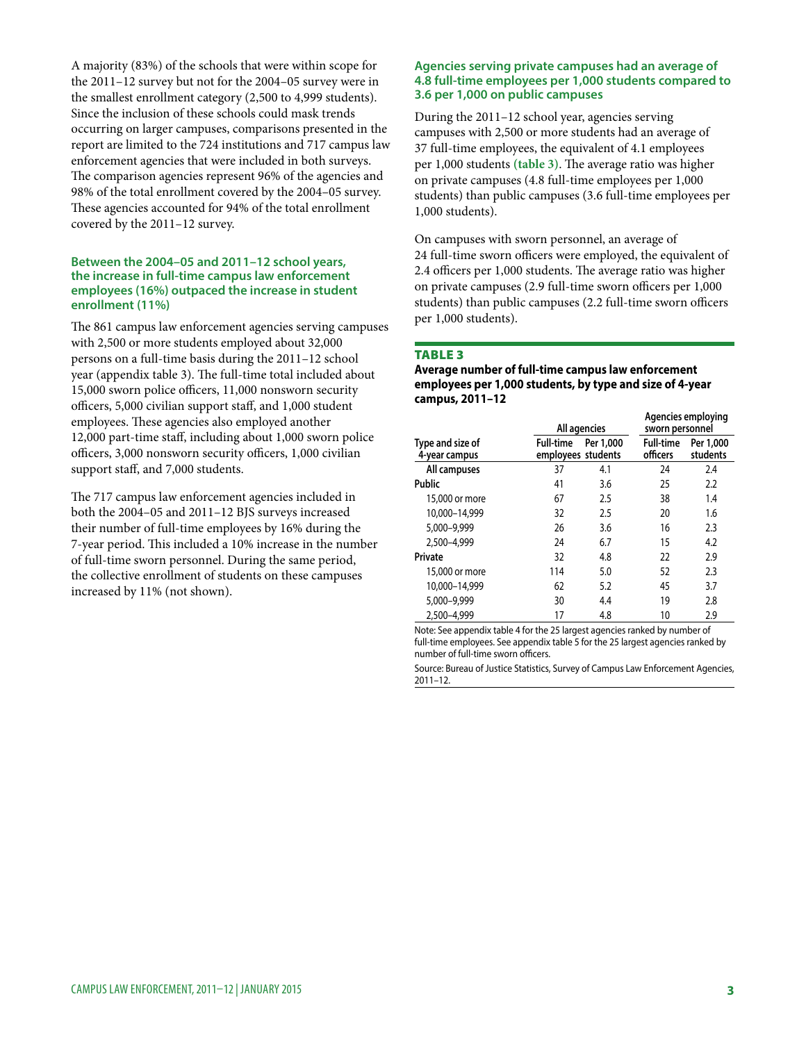A majority (83%) of the schools that were within scope for the 2011–12 survey but not for the 2004–05 survey were in the smallest enrollment category (2,500 to 4,999 students). Since the inclusion of these schools could mask trends occurring on larger campuses, comparisons presented in the report are limited to the 724 institutions and 717 campus law enforcement agencies that were included in both surveys. The comparison agencies represent 96% of the agencies and 98% of the total enrollment covered by the 2004–05 survey. These agencies accounted for 94% of the total enrollment covered by the 2011–12 survey.

#### **Between the 2004–05 and 2011–12 school years, the increase in full-time campus law enforcement employees (16%) outpaced the increase in student enrollment (11%)**

The 861 campus law enforcement agencies serving campuses with 2,500 or more students employed about 32,000 persons on a full-time basis during the 2011–12 school year (appendix table 3). The full-time total included about 15,000 sworn police officers, 11,000 nonsworn security officers, 5,000 civilian support staff, and 1,000 student employees. These agencies also employed another 12,000 part-time staff, including about 1,000 sworn police officers, 3,000 nonsworn security officers, 1,000 civilian support staff, and 7,000 students.

The 717 campus law enforcement agencies included in both the 2004–05 and 2011–12 BJS surveys increased their number of full-time employees by 16% during the 7-year period. This included a 10% increase in the number of full-time sworn personnel. During the same period, the collective enrollment of students on these campuses increased by 11% (not shown).

#### **Agencies serving private campuses had an average of 4.8 full-time employees per 1,000 students compared to 3.6 per 1,000 on public campuses**

During the 2011–12 school year, agencies serving campuses with 2,500 or more students had an average of 37 full-time employees, the equivalent of 4.1 employees per 1,000 students **(table 3)**. The average ratio was higher on private campuses (4.8 full-time employees per 1,000 students) than public campuses (3.6 full-time employees per 1,000 students).

On campuses with sworn personnel, an average of 24 full-time sworn officers were employed, the equivalent of 2.4 officers per 1,000 students. The average ratio was higher on private campuses (2.9 full-time sworn officers per 1,000 students) than public campuses (2.2 full-time sworn officers per 1,000 students).

# **TABLE 3**

#### **Average number of full-time campus law enforcement employees per 1,000 students, by type and size of 4-year campus, 2011–12**

|                                   |                  | All agencies                    |                              | Agencies employing<br>sworn personnel |  |  |
|-----------------------------------|------------------|---------------------------------|------------------------------|---------------------------------------|--|--|
| Type and size of<br>4-year campus | <b>Full-time</b> | Per 1,000<br>employees students | <b>Full-time</b><br>officers | Per 1,000<br>students                 |  |  |
| All campuses                      | 37               | 4.1                             | 24                           | 2.4                                   |  |  |
| Public                            | 41               | 3.6                             | 25                           | 2.2                                   |  |  |
| 15,000 or more                    | 67               | 2.5                             | 38                           | 1.4                                   |  |  |
| 10.000-14.999                     | 32               | 2.5                             | 20                           | 1.6                                   |  |  |
| 5,000-9,999                       | 26               | 3.6                             | 16                           | 2.3                                   |  |  |
| 2.500-4.999                       | 24               | 6.7                             | 15                           | 4.2                                   |  |  |
| Private                           | 32               | 4.8                             | 22                           | 2.9                                   |  |  |
| 15,000 or more                    | 114              | 5.0                             | 52                           | 2.3                                   |  |  |
| 10,000-14,999                     | 62               | 5.2                             | 45                           | 3.7                                   |  |  |
| 5,000-9,999                       | 30               | 4.4                             | 19                           | 2.8                                   |  |  |
| 2.500-4.999                       | 17               | 4.8                             | 10                           | 2.9                                   |  |  |

Note: See appendix table 4 for the 25 largest agencies ranked by number of full-time employees. See appendix table 5 for the 25 largest agencies ranked by number of full-time sworn officers.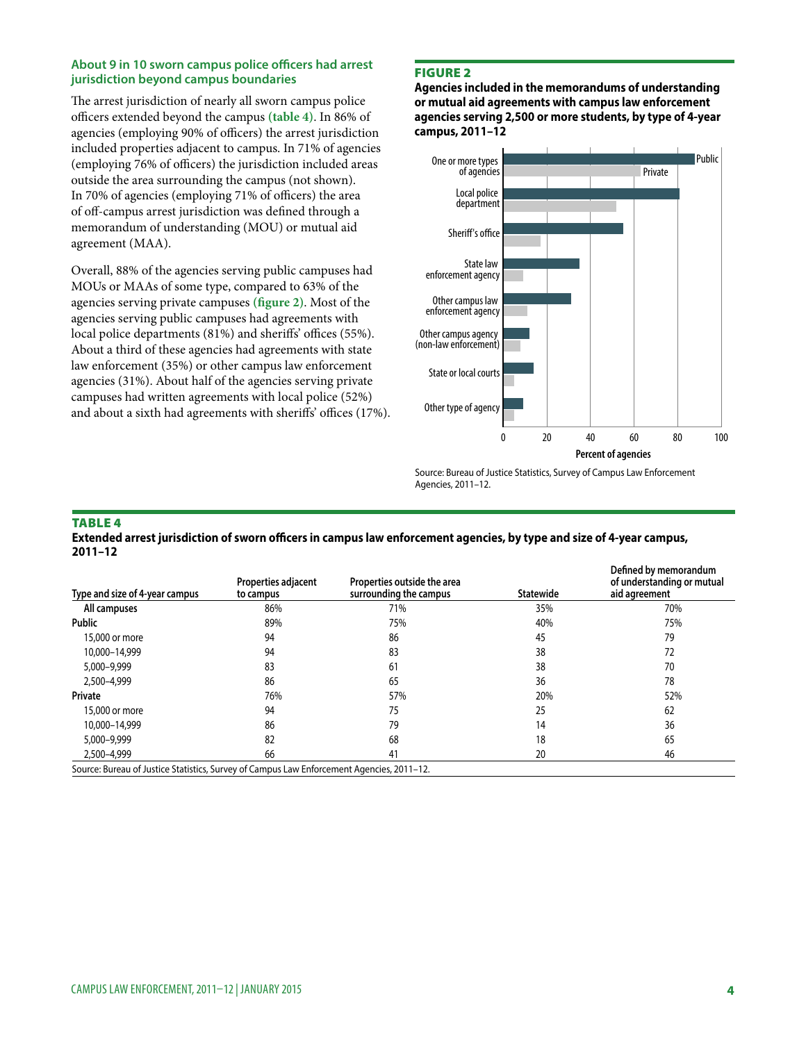#### **About 9 in 10 sworn campus police officers had arrest jurisdiction beyond campus boundaries**

The arrest jurisdiction of nearly all sworn campus police officers extended beyond the campus **(table 4)**. In 86% of agencies (employing 90% of officers) the arrest jurisdiction included properties adjacent to campus. In 71% of agencies (employing 76% of officers) the jurisdiction included areas outside the area surrounding the campus (not shown). In 70% of agencies (employing 71% of officers) the area of off-campus arrest jurisdiction was defined through a memorandum of understanding (MOU) or mutual aid agreement (MAA).

Overall, 88% of the agencies serving public campuses had MOUs or MAAs of some type, compared to 63% of the agencies serving private campuses **(figure 2)**. Most of the agencies serving public campuses had agreements with local police departments (81%) and sheriffs' offices (55%). About a third of these agencies had agreements with state law enforcement (35%) or other campus law enforcement agencies (31%). About half of the agencies serving private campuses had written agreements with local police (52%) and about a sixth had agreements with sheriffs' offices (17%).

## Figure 2

**Agencies included in the memorandums of understanding or mutual aid agreements with campus law enforcement agencies serving 2,500 or more students, by type of 4-year campus, 2011–12**



Source: Bureau of Justice Statistics, Survey of Campus Law Enforcement Agencies, 2011–12.

#### **TABLE 4**

**Extended arrest jurisdiction of sworn officers in campus law enforcement agencies, by type and size of 4-year campus, 2011–12**

| Type and size of 4-year campus                                                            | Properties adjacent<br>to campus | Properties outside the area<br>surrounding the campus | <b>Statewide</b> | Defined by memorandum<br>of understanding or mutual<br>aid agreement |
|-------------------------------------------------------------------------------------------|----------------------------------|-------------------------------------------------------|------------------|----------------------------------------------------------------------|
| All campuses                                                                              | 86%                              | 71%                                                   | 35%              | 70%                                                                  |
| <b>Public</b>                                                                             | 89%                              | 75%                                                   | 40%              | 75%                                                                  |
| 15,000 or more                                                                            | 94                               | 86                                                    | 45               | 79                                                                   |
| 10,000-14,999                                                                             | 94                               | 83                                                    | 38               | 72                                                                   |
| 5,000-9,999                                                                               | 83                               | 61                                                    | 38               | 70                                                                   |
| 2,500-4,999                                                                               | 86                               | 65                                                    | 36               | 78                                                                   |
| Private                                                                                   | 76%                              | 57%                                                   | 20%              | 52%                                                                  |
| 15,000 or more                                                                            | 94                               | 75                                                    | 25               | 62                                                                   |
| 10,000-14,999                                                                             | 86                               | 79                                                    | 14               | 36                                                                   |
| 5,000-9,999                                                                               | 82                               | 68                                                    | 18               | 65                                                                   |
| 2,500-4,999                                                                               | 66                               | 41                                                    | 20               | 46                                                                   |
| Source: Bureau of Justice Statistics, Survey of Campus Law Enforcement Agencies, 2011-12. |                                  |                                                       |                  |                                                                      |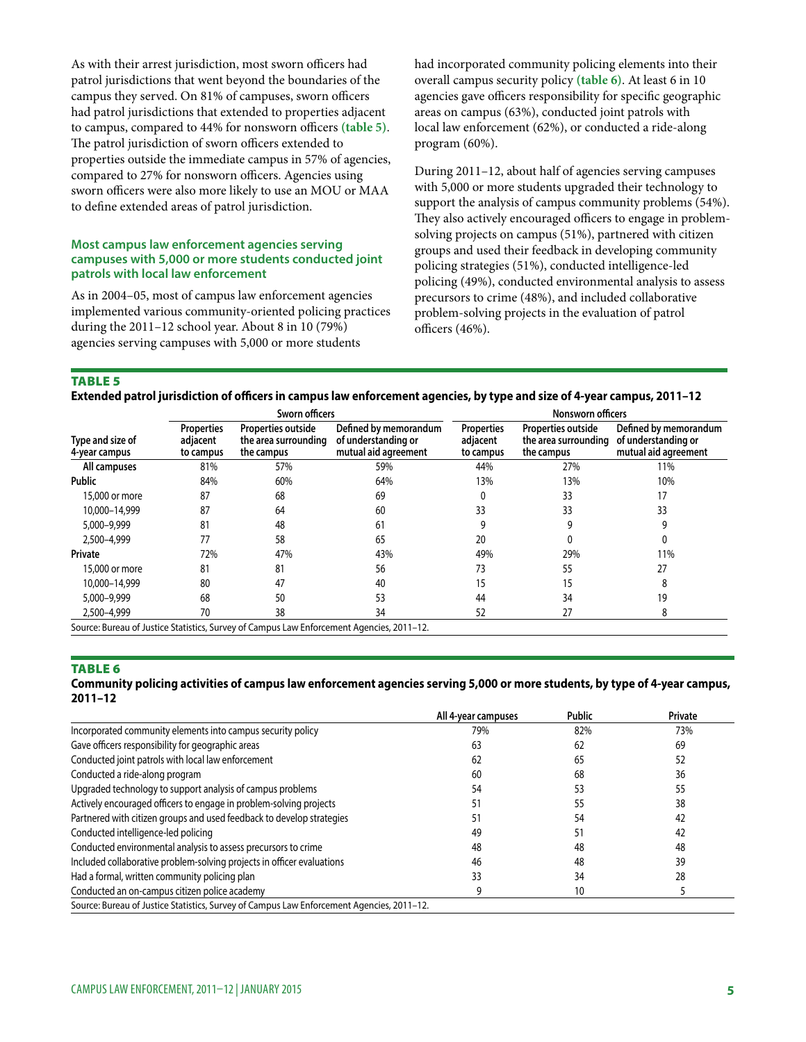As with their arrest jurisdiction, most sworn officers had patrol jurisdictions that went beyond the boundaries of the campus they served. On 81% of campuses, sworn officers had patrol jurisdictions that extended to properties adjacent to campus, compared to 44% for nonsworn officers **(table 5)**. The patrol jurisdiction of sworn officers extended to properties outside the immediate campus in 57% of agencies, compared to 27% for nonsworn officers. Agencies using sworn officers were also more likely to use an MOU or MAA to define extended areas of patrol jurisdiction.

#### **Most campus law enforcement agencies serving campuses with 5,000 or more students conducted joint patrols with local law enforcement**

As in 2004–05, most of campus law enforcement agencies implemented various community-oriented policing practices during the 2011–12 school year. About 8 in 10 (79%) agencies serving campuses with 5,000 or more students

had incorporated community policing elements into their overall campus security policy **(table 6)**. At least 6 in 10 agencies gave officers responsibility for specific geographic areas on campus (63%), conducted joint patrols with local law enforcement (62%), or conducted a ride-along program (60%).

During 2011–12, about half of agencies serving campuses with 5,000 or more students upgraded their technology to support the analysis of campus community problems (54%). They also actively encouraged officers to engage in problemsolving projects on campus (51%), partnered with citizen groups and used their feedback in developing community policing strategies (51%), conducted intelligence-led policing (49%), conducted environmental analysis to assess precursors to crime (48%), and included collaborative problem-solving projects in the evaluation of patrol officers (46%).

TABLE<sub>5</sub>

**Extended patrol jurisdiction of officers in campus law enforcement agencies, by type and size of 4-year campus, 2011–12**

|                                   |                                            | Sworn officers                                           |                                                                                           | Nonsworn officers                          |                                                          |                                                                      |
|-----------------------------------|--------------------------------------------|----------------------------------------------------------|-------------------------------------------------------------------------------------------|--------------------------------------------|----------------------------------------------------------|----------------------------------------------------------------------|
| Type and size of<br>4-year campus | <b>Properties</b><br>adjacent<br>to campus | Properties outside<br>the area surrounding<br>the campus | Defined by memorandum<br>of understanding or<br>mutual aid agreement                      | <b>Properties</b><br>adjacent<br>to campus | Properties outside<br>the area surrounding<br>the campus | Defined by memorandum<br>of understanding or<br>mutual aid agreement |
| All campuses                      | 81%                                        | 57%                                                      | 59%                                                                                       | 44%                                        | 27%                                                      | 11%                                                                  |
| <b>Public</b>                     | 84%                                        | 60%                                                      | 64%                                                                                       | 13%                                        | 13%                                                      | 10%                                                                  |
| 15,000 or more                    | 87                                         | 68                                                       | 69                                                                                        |                                            | 33                                                       | 17                                                                   |
| 10.000-14.999                     | 87                                         | 64                                                       | 60                                                                                        | 33                                         | 33                                                       | 33                                                                   |
| 5,000-9,999                       | 81                                         | 48                                                       | 61                                                                                        |                                            | q                                                        | g                                                                    |
| 2,500-4,999                       | 77                                         | 58                                                       | 65                                                                                        | 20                                         |                                                          | 0                                                                    |
| Private                           | 72%                                        | 47%                                                      | 43%                                                                                       | 49%                                        | 29%                                                      | 11%                                                                  |
| 15,000 or more                    | 81                                         | 81                                                       | 56                                                                                        | 73                                         | 55                                                       | 27                                                                   |
| 10.000-14.999                     | 80                                         | 47                                                       | 40                                                                                        | 15                                         | 15                                                       | 8                                                                    |
| 5,000-9,999                       | 68                                         | 50                                                       | 53                                                                                        | 44                                         | 34                                                       | 19                                                                   |
| 2,500-4,999                       | 70                                         | 38                                                       | 34                                                                                        | 52                                         | 27                                                       | 8                                                                    |
|                                   |                                            |                                                          | Source: Bureau of Justice Statistics, Survey of Campus Law Enforcement Agencies, 2011-12. |                                            |                                                          |                                                                      |

#### **TABLE 6**

#### **Community policing activities of campus law enforcement agencies serving 5,000 or more students, by type of 4-year campus, 2011–12**

|                                                                                           | All 4-year campuses | Public | <b>Private</b> |
|-------------------------------------------------------------------------------------------|---------------------|--------|----------------|
| Incorporated community elements into campus security policy                               | 79%                 | 82%    | 73%            |
| Gave officers responsibility for geographic areas                                         | 63                  | 62     | 69             |
| Conducted joint patrols with local law enforcement                                        | 62                  | 65     |                |
| Conducted a ride-along program                                                            | 60                  | 68     | 36             |
| Upgraded technology to support analysis of campus problems                                | 54                  | 53     |                |
| Actively encouraged officers to engage in problem-solving projects                        |                     | 55     | 38             |
| Partnered with citizen groups and used feedback to develop strategies                     |                     | 54     | 42             |
| Conducted intelligence-led policing                                                       | 49                  |        | 42             |
| Conducted environmental analysis to assess precursors to crime                            | 48                  | 48     | 48             |
| Included collaborative problem-solving projects in officer evaluations                    | 46                  | 48     | 39             |
| Had a formal, written community policing plan                                             | 33                  | 34     | 28             |
| Conducted an on-campus citizen police academy                                             |                     | 10     |                |
| Source: Bureau of Justice Statistics, Survey of Campus Law Enforcement Agencies, 2011-12. |                     |        |                |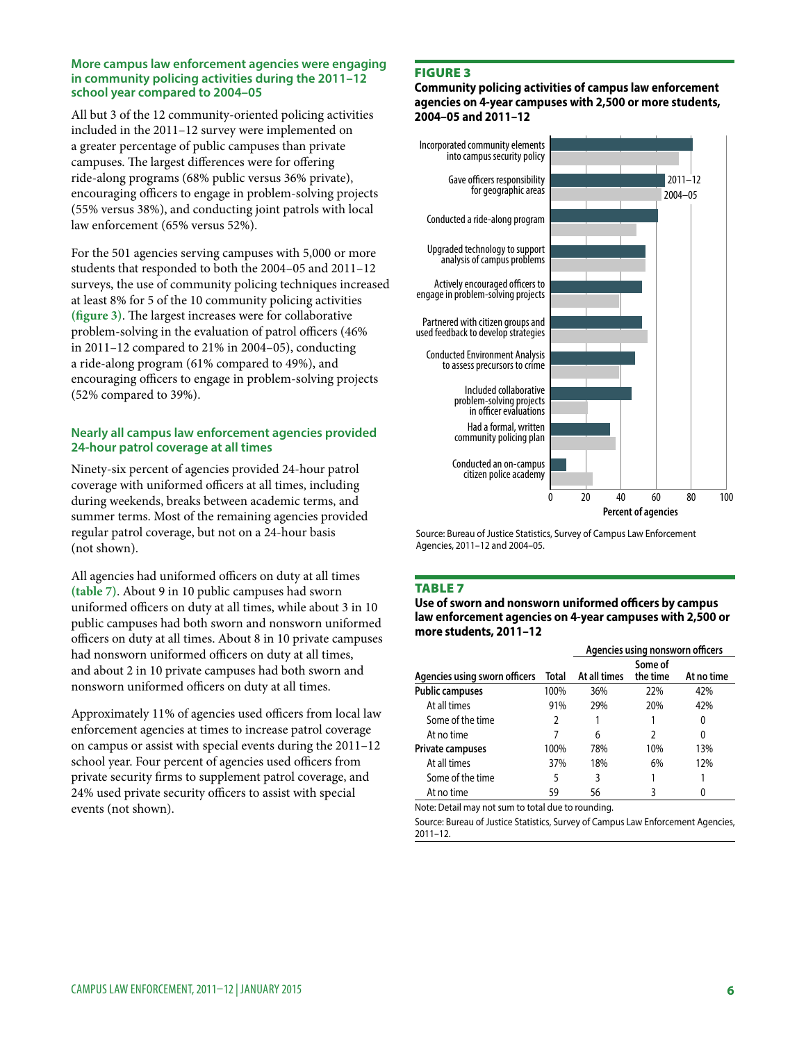#### **More campus law enforcement agencies were engaging in community policing activities during the 2011–12 school year compared to 2004–05**

All but 3 of the 12 community-oriented policing activities included in the 2011–12 survey were implemented on a greater percentage of public campuses than private campuses. The largest differences were for offering ride-along programs (68% public versus 36% private), encouraging officers to engage in problem-solving projects (55% versus 38%), and conducting joint patrols with local law enforcement (65% versus 52%).

For the 501 agencies serving campuses with 5,000 or more students that responded to both the 2004–05 and 2011–12 surveys, the use of community policing techniques increased at least 8% for 5 of the 10 community policing activities **(figure 3)**. The largest increases were for collaborative problem-solving in the evaluation of patrol officers (46% in 2011–12 compared to 21% in 2004–05), conducting a ride-along program (61% compared to 49%), and encouraging officers to engage in problem-solving projects (52% compared to 39%).

# **Nearly all campus law enforcement agencies provided 24-hour patrol coverage at all times**

Ninety-six percent of agencies provided 24-hour patrol coverage with uniformed officers at all times, including during weekends, breaks between academic terms, and summer terms. Most of the remaining agencies provided regular patrol coverage, but not on a 24-hour basis (not shown).

All agencies had uniformed officers on duty at all times **(table 7)**. About 9 in 10 public campuses had sworn uniformed officers on duty at all times, while about 3 in 10 public campuses had both sworn and nonsworn uniformed officers on duty at all times. About 8 in 10 private campuses had nonsworn uniformed officers on duty at all times, and about 2 in 10 private campuses had both sworn and nonsworn uniformed officers on duty at all times.

Approximately 11% of agencies used officers from local law enforcement agencies at times to increase patrol coverage on campus or assist with special events during the 2011–12 school year. Four percent of agencies used officers from private security firms to supplement patrol coverage, and 24% used private security officers to assist with special events (not shown).

# Figure 3

**Community policing activities of campus law enforcement agencies on 4-year campuses with 2,500 or more students, 2004–05 and 2011–12**



Source: Bureau of Justice Statistics, Survey of Campus Law Enforcement Agencies, 2011–12 and 2004–05.

#### **TABLE 7**

**Use of sworn and nonsworn uniformed officers by campus law enforcement agencies on 4-year campuses with 2,500 or more students, 2011–12**

|                               |       | Agencies using nonsworn officers |                     |            |  |  |
|-------------------------------|-------|----------------------------------|---------------------|------------|--|--|
| Agencies using sworn officers | Total | At all times                     | Some of<br>the time | At no time |  |  |
| <b>Public campuses</b>        | 100%  | 36%                              | 22%                 | 42%        |  |  |
| At all times                  | 91%   | 29%                              | 20%                 | 42%        |  |  |
| Some of the time              | 2     |                                  |                     | 0          |  |  |
| At no time                    |       | 6                                | 2                   | 0          |  |  |
| <b>Private campuses</b>       | 100%  | 78%                              | 10%                 | 13%        |  |  |
| At all times                  | 37%   | 18%                              | 6%                  | 12%        |  |  |
| Some of the time              | 5     | 3                                |                     |            |  |  |
| At no time                    | 59    | 56                               | 3                   |            |  |  |

Note: Detail may not sum to total due to rounding.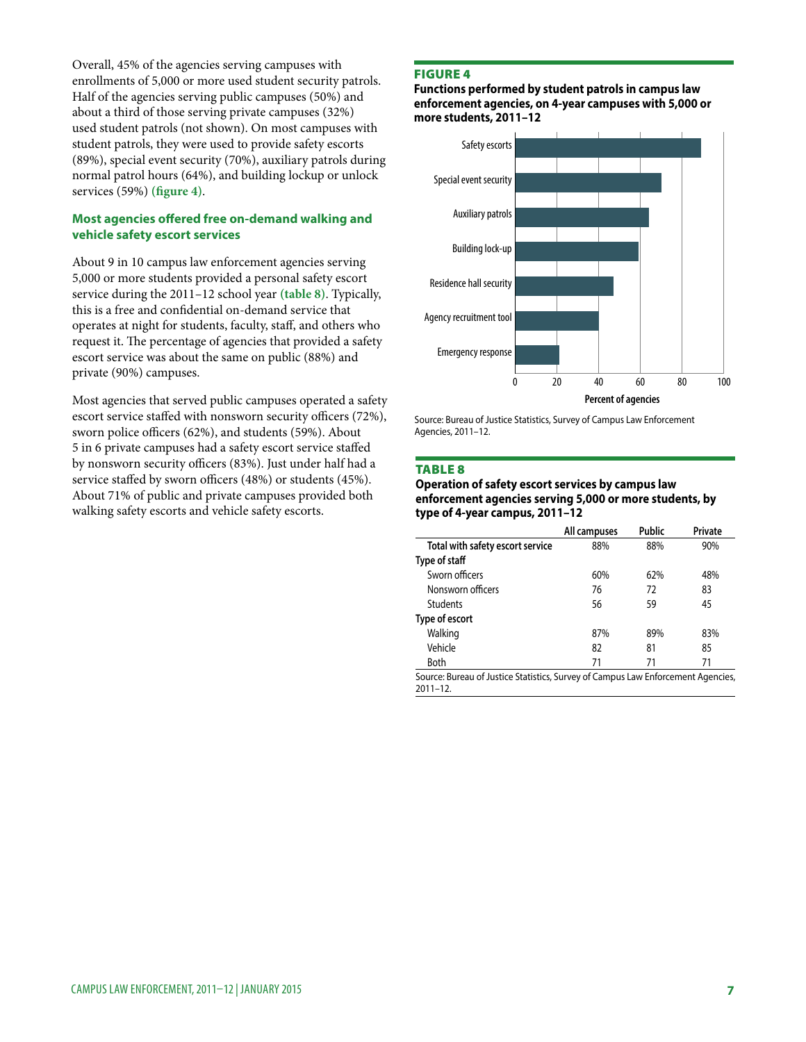Overall, 45% of the agencies serving campuses with enrollments of 5,000 or more used student security patrols. Half of the agencies serving public campuses (50%) and about a third of those serving private campuses (32%) used student patrols (not shown). On most campuses with student patrols, they were used to provide safety escorts (89%), special event security (70%), auxiliary patrols during normal patrol hours (64%), and building lockup or unlock services (59%) **(figure 4)**.

## **Most agencies offered free on-demand walking and vehicle safety escort services**

About 9 in 10 campus law enforcement agencies serving 5,000 or more students provided a personal safety escort service during the 2011–12 school year **(table 8)**. Typically, this is a free and confidential on-demand service that operates at night for students, faculty, staff, and others who request it. The percentage of agencies that provided a safety escort service was about the same on public (88%) and private (90%) campuses.

Most agencies that served public campuses operated a safety escort service staffed with nonsworn security officers (72%), sworn police officers (62%), and students (59%). About 5 in 6 private campuses had a safety escort service staffed by nonsworn security officers (83%). Just under half had a service staffed by sworn officers (48%) or students (45%). About 71% of public and private campuses provided both walking safety escorts and vehicle safety escorts.

#### Figure 4

**Functions performed by student patrols in campus law enforcement agencies, on 4-year campuses with 5,000 or more students, 2011–12** 



Source: Bureau of Justice Statistics, Survey of Campus Law Enforcement Agencies, 2011–12.

#### Table 8

#### **Operation of safety escort services by campus law enforcement agencies serving 5,000 or more students, by type of 4-year campus, 2011–12**

|                                  | All campuses | <b>Public</b> | Private |
|----------------------------------|--------------|---------------|---------|
| Total with safety escort service | 88%          | 88%           | 90%     |
| Type of staff                    |              |               |         |
| Sworn officers                   | 60%          | 62%           | 48%     |
| Nonsworn officers                | 76           | 72            | 83      |
| <b>Students</b>                  | 56           | 59            | 45      |
| Type of escort                   |              |               |         |
| Walking                          | 87%          | 89%           | 83%     |
| Vehicle                          | 82           | 81            | 85      |
| Both                             | 71           | 71            | 71      |
|                                  |              |               |         |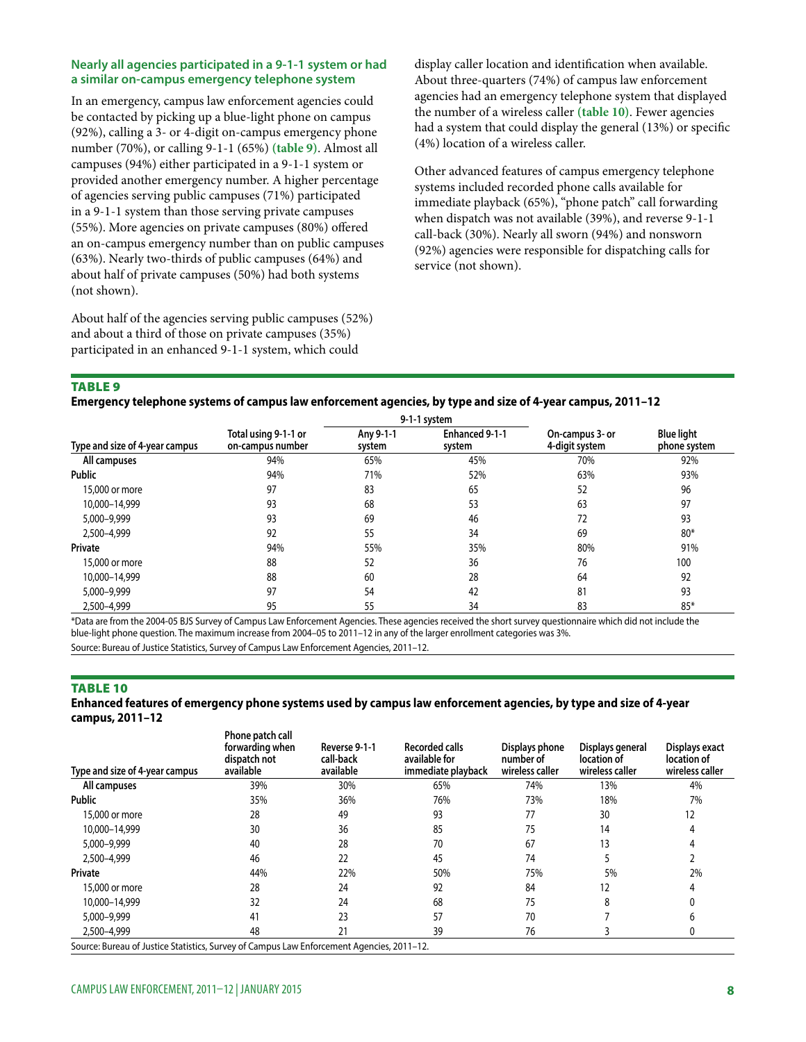#### **Nearly all agencies participated in a 9-1-1 system or had a similar on-campus emergency telephone system**

In an emergency, campus law enforcement agencies could be contacted by picking up a blue-light phone on campus (92%), calling a 3- or 4-digit on-campus emergency phone number (70%), or calling 9-1-1 (65%) **(table 9)**. Almost all campuses (94%) either participated in a 9-1-1 system or provided another emergency number. A higher percentage of agencies serving public campuses (71%) participated in a 9-1-1 system than those serving private campuses (55%). More agencies on private campuses (80%) offered an on-campus emergency number than on public campuses (63%). Nearly two-thirds of public campuses (64%) and about half of private campuses (50%) had both systems (not shown).

About half of the agencies serving public campuses (52%) and about a third of those on private campuses (35%) participated in an enhanced 9-1-1 system, which could

display caller location and identification when available. About three-quarters (74%) of campus law enforcement agencies had an emergency telephone system that displayed the number of a wireless caller **(table 10)**. Fewer agencies had a system that could display the general (13%) or specific (4%) location of a wireless caller.

Other advanced features of campus emergency telephone systems included recorded phone calls available for immediate playback (65%), "phone patch" call forwarding when dispatch was not available (39%), and reverse 9-1-1 call-back (30%). Nearly all sworn (94%) and nonsworn (92%) agencies were responsible for dispatching calls for service (not shown).

#### **TABLE 9**

#### **Emergency telephone systems of campus law enforcement agencies, by type and size of 4-year campus, 2011–12**

|                                |                                          | 9-1-1 system        |                          |                                   |                                   |  |
|--------------------------------|------------------------------------------|---------------------|--------------------------|-----------------------------------|-----------------------------------|--|
| Type and size of 4-year campus | Total using 9-1-1 or<br>on-campus number | Anv 9-1-1<br>system | Enhanced 9-1-1<br>system | On-campus 3- or<br>4-digit system | <b>Blue light</b><br>phone system |  |
| All campuses                   | 94%                                      | 65%                 | 45%                      | 70%                               | 92%                               |  |
| <b>Public</b>                  | 94%                                      | 71%                 | 52%                      | 63%                               | 93%                               |  |
| 15,000 or more                 | 97                                       | 83                  | 65                       | 52                                | 96                                |  |
| 10,000-14,999                  | 93                                       | 68                  | 53                       | 63                                | 97                                |  |
| 5,000-9,999                    | 93                                       | 69                  | 46                       | 72                                | 93                                |  |
| 2,500-4,999                    | 92                                       | 55                  | 34                       | 69                                | $80*$                             |  |
| Private                        | 94%                                      | 55%                 | 35%                      | 80%                               | 91%                               |  |
| 15,000 or more                 | 88                                       | 52                  | 36                       | 76                                | 100                               |  |
| 10.000-14.999                  | 88                                       | 60                  | 28                       | 64                                | 92                                |  |
| 5,000-9,999                    | 97                                       | 54                  | 42                       | 81                                | 93                                |  |
| 2.500-4.999                    | 95                                       | 55                  | 34                       | 83                                | $85*$                             |  |

\*Data are from the 2004-05 BJS Survey of Campus Law Enforcement Agencies. These agencies received the short survey questionnaire which did not include the blue-light phone question. The maximum increase from 2004–05 to 2011–12 in any of the larger enrollment categories was 3%.

Source: Bureau of Justice Statistics, Survey of Campus Law Enforcement Agencies, 2011–12.

#### **TABLE 10**

#### **Enhanced features of emergency phone systems used by campus law enforcement agencies, by type and size of 4-year campus, 2011–12**

| Type and size of 4-year campus                                                            | Phone patch call<br>forwarding when<br>dispatch not<br>available | Reverse 9-1-1<br>call-back<br>available | <b>Recorded calls</b><br>available for<br>immediate playback | Displays phone<br>number of<br>wireless caller | Displays general<br>location of<br>wireless caller | Displays exact<br>location of<br>wireless caller |
|-------------------------------------------------------------------------------------------|------------------------------------------------------------------|-----------------------------------------|--------------------------------------------------------------|------------------------------------------------|----------------------------------------------------|--------------------------------------------------|
| All campuses                                                                              | 39%                                                              | 30%                                     | 65%                                                          | 74%                                            | 13%                                                | 4%                                               |
| <b>Public</b>                                                                             | 35%                                                              | 36%                                     | 76%                                                          | 73%                                            | 18%                                                | 7%                                               |
| 15,000 or more                                                                            | 28                                                               | 49                                      | 93                                                           | 77                                             | 30                                                 | 12                                               |
| 10.000-14.999                                                                             | 30                                                               | 36                                      | 85                                                           | 75                                             | 14                                                 |                                                  |
| 5,000-9,999                                                                               | 40                                                               | 28                                      | 70                                                           | 67                                             | 13                                                 |                                                  |
| 2,500-4,999                                                                               | 46                                                               | 22                                      | 45                                                           | 74                                             |                                                    |                                                  |
| Private                                                                                   | 44%                                                              | 22%                                     | 50%                                                          | 75%                                            | 5%                                                 | 2%                                               |
| 15,000 or more                                                                            | 28                                                               | 24                                      | 92                                                           | 84                                             | 12                                                 |                                                  |
| 10.000-14.999                                                                             | 32                                                               | 24                                      | 68                                                           | 75                                             | 8                                                  |                                                  |
| 5,000-9,999                                                                               | 41                                                               | 23                                      | 57                                                           | 70                                             |                                                    | n                                                |
| 2,500-4,999                                                                               | 48                                                               | 21                                      | 39                                                           | 76                                             |                                                    | 0                                                |
| Source: Bureau of Justice Statistics, Survey of Campus Law Enforcement Agencies, 2011-12. |                                                                  |                                         |                                                              |                                                |                                                    |                                                  |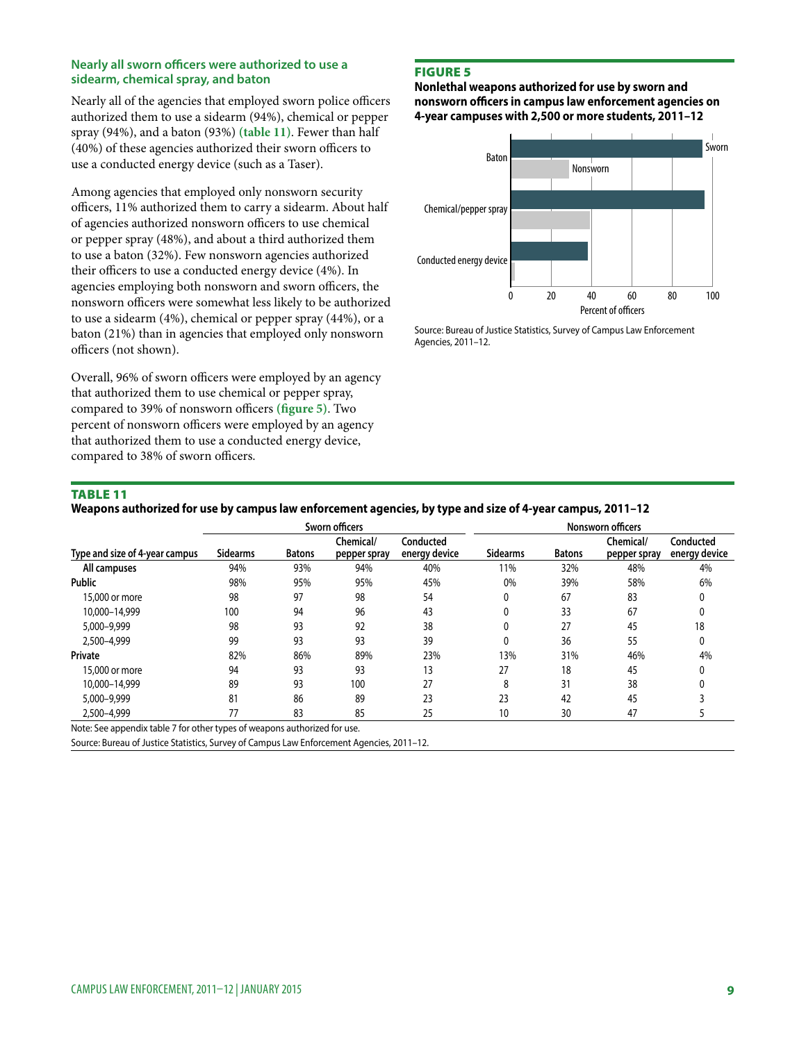#### **Nearly all sworn officers were authorized to use a sidearm, chemical spray, and baton**

Nearly all of the agencies that employed sworn police officers authorized them to use a sidearm (94%), chemical or pepper spray (94%), and a baton (93%) **(table 11)**. Fewer than half (40%) of these agencies authorized their sworn officers to use a conducted energy device (such as a Taser).

Among agencies that employed only nonsworn security officers, 11% authorized them to carry a sidearm. About half of agencies authorized nonsworn officers to use chemical or pepper spray (48%), and about a third authorized them to use a baton (32%). Few nonsworn agencies authorized their officers to use a conducted energy device (4%). In agencies employing both nonsworn and sworn officers, the nonsworn officers were somewhat less likely to be authorized to use a sidearm (4%), chemical or pepper spray (44%), or a baton (21%) than in agencies that employed only nonsworn officers (not shown).

Overall, 96% of sworn officers were employed by an agency that authorized them to use chemical or pepper spray, compared to 39% of nonsworn officers **(figure 5)**. Two percent of nonsworn officers were employed by an agency that authorized them to use a conducted energy device, compared to 38% of sworn officers.

# Figure 5

**Nonlethal weapons authorized for use by sworn and nonsworn officers in campus law enforcement agencies on 4-year campuses with 2,500 or more students, 2011–12** 



Source: Bureau of Justice Statistics, Survey of Campus Law Enforcement Agencies, 2011–12.

# Table 11

#### **Weapons authorized for use by campus law enforcement agencies, by type and size of 4-year campus, 2011–12**

|                                                                           | Sworn officers  |               |                           |                            | Nonsworn officers |               |                           |                            |
|---------------------------------------------------------------------------|-----------------|---------------|---------------------------|----------------------------|-------------------|---------------|---------------------------|----------------------------|
| Type and size of 4-year campus                                            | <b>Sidearms</b> | <b>Batons</b> | Chemical/<br>pepper spray | Conducted<br>energy device | <b>Sidearms</b>   | <b>Batons</b> | Chemical/<br>pepper spray | Conducted<br>energy device |
| All campuses                                                              | 94%             | 93%           | 94%                       | 40%                        | 11%               | 32%           | 48%                       | 4%                         |
| <b>Public</b>                                                             | 98%             | 95%           | 95%                       | 45%                        | 0%                | 39%           | 58%                       | 6%                         |
| 15,000 or more                                                            | 98              | 97            | 98                        | 54                         |                   | 67            | 83                        |                            |
| 10.000-14.999                                                             | 100             | 94            | 96                        | 43                         |                   | 33            | 67                        |                            |
| 5,000-9,999                                                               | 98              | 93            | 92                        | 38                         |                   | 27            | 45                        | 18                         |
| 2,500-4,999                                                               | 99              | 93            | 93                        | 39                         |                   | 36            | 55                        |                            |
| Private                                                                   | 82%             | 86%           | 89%                       | 23%                        | 13%               | 31%           | 46%                       | 4%                         |
| 15,000 or more                                                            | 94              | 93            | 93                        | 13                         | 27                | 18            | 45                        |                            |
| 10.000-14.999                                                             | 89              | 93            | 100                       | 27                         | ጸ                 | 31            | 38                        |                            |
| 5,000-9,999                                                               | 81              | 86            | 89                        | 23                         | 23                | 42            | 45                        |                            |
| 2,500-4,999                                                               | 77              | 83            | 85                        | 25                         | 10                | 30            | 47                        |                            |
| Note: See appendix table 7 for other types of weapons authorized for use. |                 |               |                           |                            |                   |               |                           |                            |

Note: See appendix table 7 for other types of weapons authorized for use.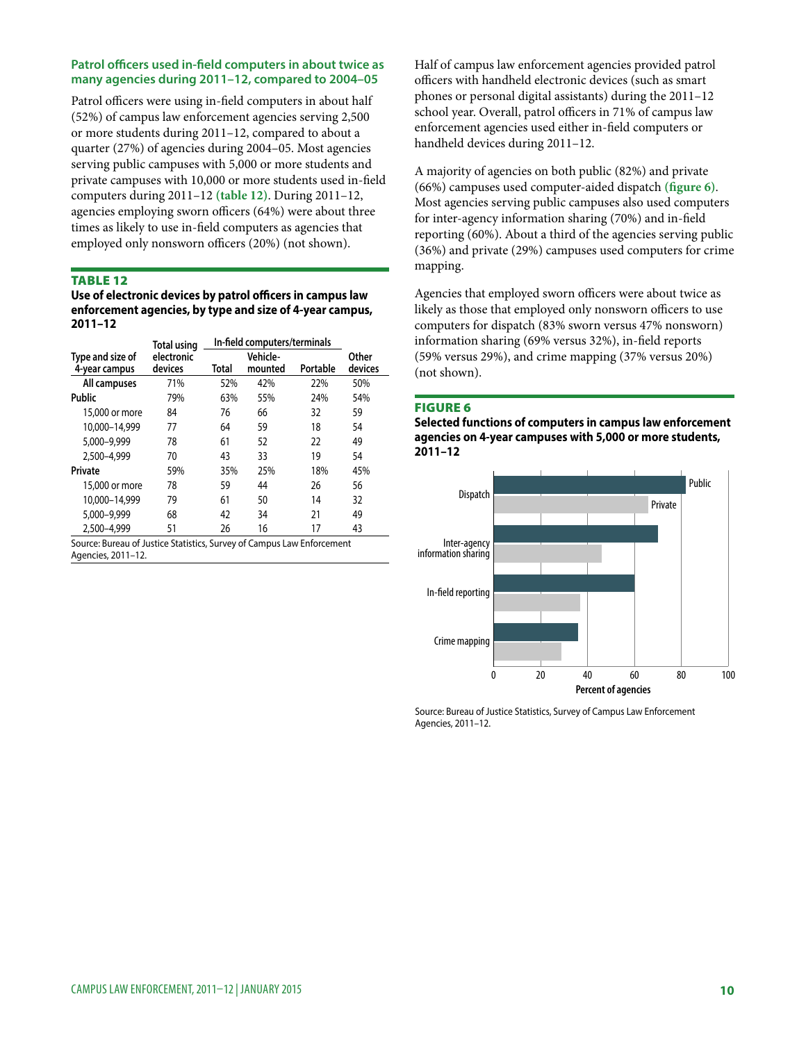#### **Patrol officers used in-field computers in about twice as many agencies during 2011–12, compared to 2004–05**

Patrol officers were using in-field computers in about half (52%) of campus law enforcement agencies serving 2,500 or more students during 2011–12, compared to about a quarter (27%) of agencies during 2004–05. Most agencies serving public campuses with 5,000 or more students and private campuses with 10,000 or more students used in-field computers during 2011–12 **(table 12)**. During 2011–12, agencies employing sworn officers (64%) were about three times as likely to use in-field computers as agencies that employed only nonsworn officers (20%) (not shown).

#### Table 12

**Use of electronic devices by patrol officers in campus law enforcement agencies, by type and size of 4-year campus, 2011–12**

|                  | Total using           | In-field computers/terminals |                     |          |                  |
|------------------|-----------------------|------------------------------|---------------------|----------|------------------|
| Type and size of | electronic<br>devices | Total                        | Vehicle-<br>mounted | Portable | Other<br>devices |
| 4-year campus    |                       |                              |                     |          |                  |
| All campuses     | 71%                   | 52%                          | 42%                 | 22%      | 50%              |
| Public           | 79%                   | 63%                          | 55%                 | 24%      | 54%              |
| 15,000 or more   | 84                    | 76                           | 66                  | 32       | 59               |
| 10.000-14.999    | 77                    | 64                           | 59                  | 18       | 54               |
| 5,000-9,999      | 78                    | 61                           | 52                  | 22       | 49               |
| 2.500-4.999      | 70                    | 43                           | 33                  | 19       | 54               |
| Private          | 59%                   | 35%                          | 25%                 | 18%      | 45%              |
| 15,000 or more   | 78                    | 59                           | 44                  | 26       | 56               |
| 10.000-14.999    | 79                    | 61                           | 50                  | 14       | 32               |
| 5,000-9,999      | 68                    | 42                           | 34                  | 21       | 49               |
| 2.500-4.999      | 51                    | 26                           | 16                  | 17       | 43               |

Source: Bureau of Justice Statistics, Survey of Campus Law Enforcement Agencies, 2011–12.

Half of campus law enforcement agencies provided patrol officers with handheld electronic devices (such as smart phones or personal digital assistants) during the 2011–12 school year. Overall, patrol officers in 71% of campus law enforcement agencies used either in-field computers or handheld devices during 2011–12.

A majority of agencies on both public (82%) and private (66%) campuses used computer-aided dispatch **(figure 6)**. Most agencies serving public campuses also used computers for inter-agency information sharing (70%) and in-field reporting (60%). About a third of the agencies serving public (36%) and private (29%) campuses used computers for crime mapping.

Agencies that employed sworn officers were about twice as likely as those that employed only nonsworn officers to use computers for dispatch (83% sworn versus 47% nonsworn) information sharing (69% versus 32%), in-field reports (59% versus 29%), and crime mapping (37% versus 20%) (not shown).

#### Figure 6

**Selected functions of computers in campus law enforcement agencies on 4-year campuses with 5,000 or more students, 2011–12** 

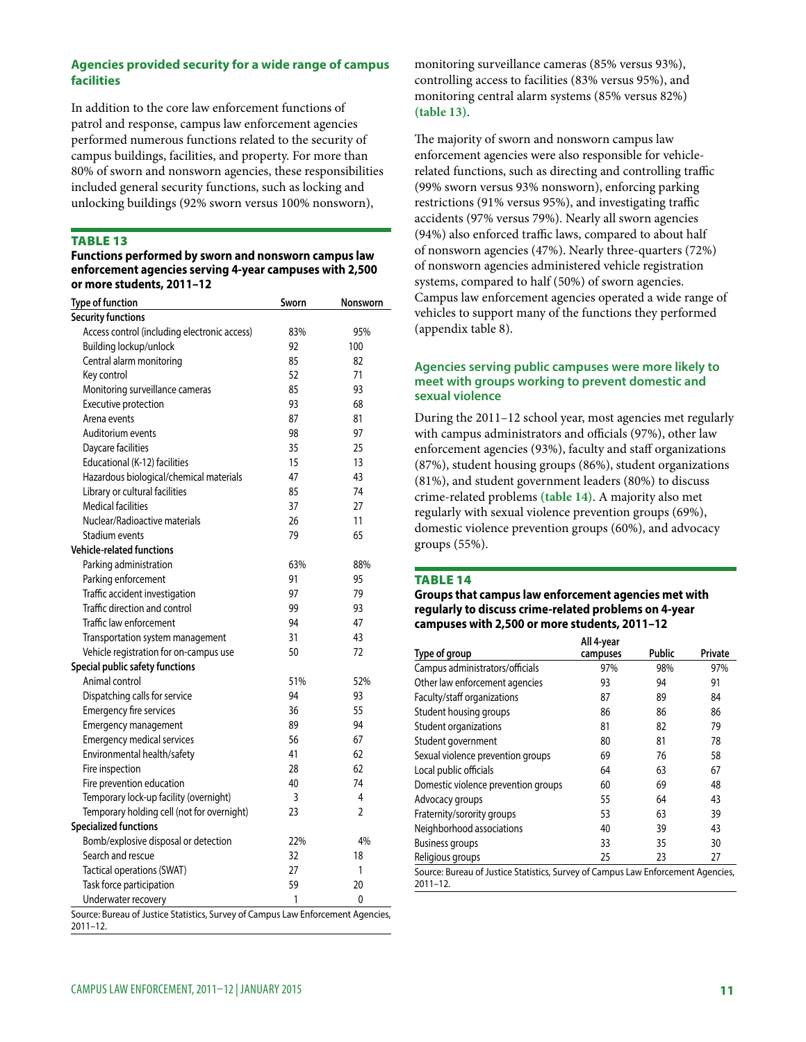## **Agencies provided security for a wide range of campus facilities**

In addition to the core law enforcement functions of patrol and response, campus law enforcement agencies performed numerous functions related to the security of campus buildings, facilities, and property. For more than 80% of sworn and nonsworn agencies, these responsibilities included general security functions, such as locking and unlocking buildings (92% sworn versus 100% nonsworn),

#### Table 13

#### **Functions performed by sworn and nonsworn campus law enforcement agencies serving 4-year campuses with 2,500 or more students, 2011–12**

| <b>Type of function</b>                                                                      | Sworn | Nonsworn       |
|----------------------------------------------------------------------------------------------|-------|----------------|
| <b>Security functions</b>                                                                    |       |                |
| Access control (including electronic access)                                                 | 83%   | 95%            |
| Building lockup/unlock                                                                       | 92    | 100            |
| Central alarm monitoring                                                                     | 85    | 82             |
| Key control                                                                                  | 52    | 71             |
| Monitoring surveillance cameras                                                              | 85    | 93             |
| Executive protection                                                                         | 93    | 68             |
| Arena events                                                                                 | 87    | 81             |
| Auditorium events                                                                            | 98    | 97             |
| Daycare facilities                                                                           | 35    | 25             |
| Educational (K-12) facilities                                                                | 15    | 13             |
| Hazardous biological/chemical materials                                                      | 47    | 43             |
| Library or cultural facilities                                                               | 85    | 74             |
| <b>Medical facilities</b>                                                                    | 37    | 27             |
| Nuclear/Radioactive materials                                                                | 26    | 11             |
| Stadium events                                                                               | 79    | 65             |
| <b>Vehicle-related functions</b>                                                             |       |                |
| Parking administration                                                                       | 63%   | 88%            |
| Parking enforcement                                                                          | 91    | 95             |
| Traffic accident investigation                                                               | 97    | 79             |
| Traffic direction and control                                                                | 99    | 93             |
| Traffic law enforcement                                                                      | 94    | 47             |
| Transportation system management                                                             | 31    | 43             |
| Vehicle registration for on-campus use                                                       | 50    | 72             |
| Special public safety functions                                                              |       |                |
| Animal control                                                                               | 51%   | 52%            |
| Dispatching calls for service                                                                | 94    | 93             |
| Emergency fire services                                                                      | 36    | 55             |
| Emergency management                                                                         | 89    | 94             |
| <b>Emergency medical services</b>                                                            | 56    | 67             |
| Environmental health/safety                                                                  | 41    | 62             |
| Fire inspection                                                                              | 28    | 62             |
| Fire prevention education                                                                    | 40    | 74             |
| Temporary lock-up facility (overnight)                                                       | 3     | 4              |
| Temporary holding cell (not for overnight)                                                   | 23    | $\overline{2}$ |
| <b>Specialized functions</b>                                                                 |       |                |
| Bomb/explosive disposal or detection                                                         | 22%   | 4%             |
| Search and rescue                                                                            | 32    | 18             |
| Tactical operations (SWAT)                                                                   | 27    | 1              |
| Task force participation                                                                     | 59    | 20             |
| Underwater recovery                                                                          | 1     | 0              |
| Source: Bureau of Justice Statistics, Survey of Campus Law Enforcement Agencies,<br>2011-12. |       |                |

monitoring surveillance cameras (85% versus 93%), controlling access to facilities (83% versus 95%), and monitoring central alarm systems (85% versus 82%) **(table 13)**.

The majority of sworn and nonsworn campus law enforcement agencies were also responsible for vehiclerelated functions, such as directing and controlling traffic (99% sworn versus 93% nonsworn), enforcing parking restrictions (91% versus 95%), and investigating traffic accidents (97% versus 79%). Nearly all sworn agencies (94%) also enforced traffic laws, compared to about half of nonsworn agencies (47%). Nearly three-quarters (72%) of nonsworn agencies administered vehicle registration systems, compared to half (50%) of sworn agencies. Campus law enforcement agencies operated a wide range of vehicles to support many of the functions they performed (appendix table 8).

#### **Agencies serving public campuses were more likely to meet with groups working to prevent domestic and sexual violence**

During the 2011–12 school year, most agencies met regularly with campus administrators and officials (97%), other law enforcement agencies (93%), faculty and staff organizations (87%), student housing groups (86%), student organizations (81%), and student government leaders (80%) to discuss crime-related problems **(table 14)**. A majority also met regularly with sexual violence prevention groups (69%), domestic violence prevention groups (60%), and advocacy groups (55%).

#### Table 14

**Groups that campus law enforcement agencies met with regularly to discuss crime-related problems on 4-year campuses with 2,500 or more students, 2011–12**

|                                                                                                  | All 4-year |        |         |
|--------------------------------------------------------------------------------------------------|------------|--------|---------|
| Type of group                                                                                    | campuses   | Public | Private |
| Campus administrators/officials                                                                  | 97%        | 98%    | 97%     |
| Other law enforcement agencies                                                                   | 93         | 94     | 91      |
| Faculty/staff organizations                                                                      | 87         | 89     | 84      |
| Student housing groups                                                                           | 86         | 86     | 86      |
| Student organizations                                                                            | 81         | 82     | 79      |
| Student government                                                                               | 80         | 81     | 78      |
| Sexual violence prevention groups                                                                | 69         | 76     | 58      |
| Local public officials                                                                           | 64         | 63     | 67      |
| Domestic violence prevention groups                                                              | 60         | 69     | 48      |
| Advocacy groups                                                                                  | 55         | 64     | 43      |
| Fraternity/sorority groups                                                                       | 53         | 63     | 39      |
| Neighborhood associations                                                                        | 40         | 39     | 43      |
| <b>Business groups</b>                                                                           | 33         | 35     | 30      |
| Religious groups                                                                                 | 25         | 23     | 27      |
| Source: Bureau of Justice Statistics, Survey of Campus Law Enforcement Agencies,<br>$2011 - 12.$ |            |        |         |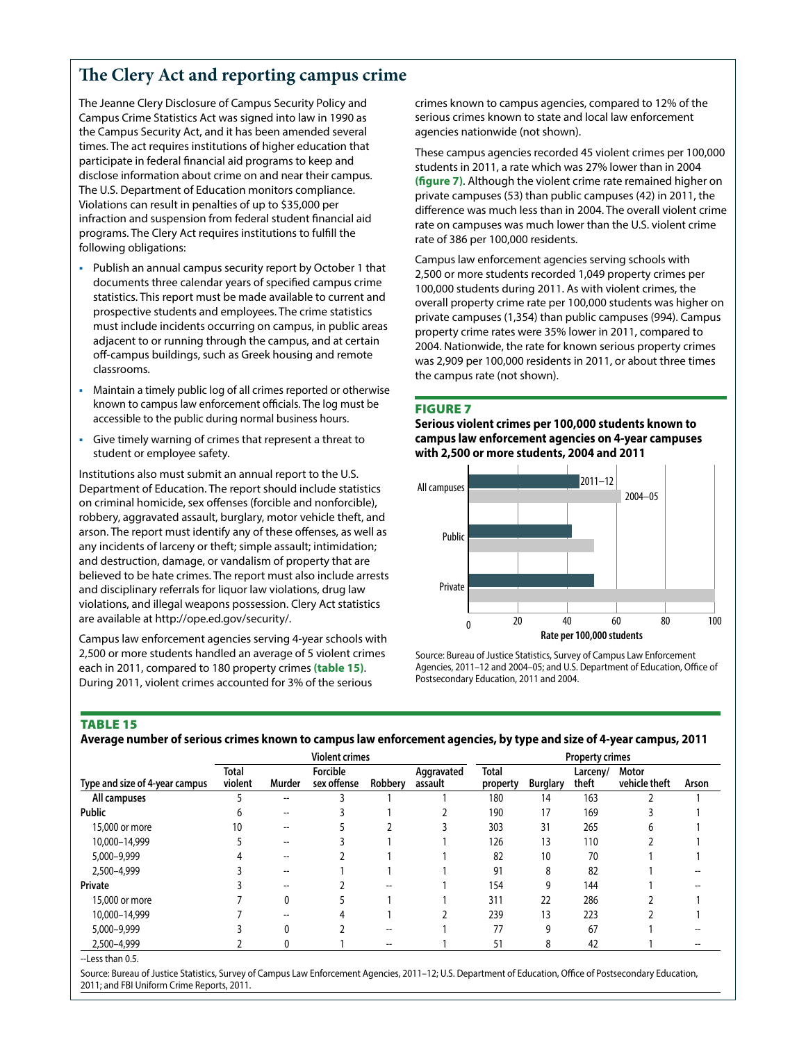# **The Clery Act and reporting campus crime**

The Jeanne Clery Disclosure of Campus Security Policy and Campus Crime Statistics Act was signed into law in 1990 as the Campus Security Act, and it has been amended several times. The act requires institutions of higher education that participate in federal financial aid programs to keep and disclose information about crime on and near their campus. The U.S. Department of Education monitors compliance. Violations can result in penalties of up to \$35,000 per infraction and suspension from federal student financial aid programs. The Clery Act requires institutions to fulfill the following obligations:

- Publish an annual campus security report by October 1 that documents three calendar years of specified campus crime statistics. This report must be made available to current and prospective students and employees. The crime statistics must include incidents occurring on campus, in public areas adjacent to or running through the campus, and at certain off-campus buildings, such as Greek housing and remote classrooms.
- Maintain a timely public log of all crimes reported or otherwise known to campus law enforcement officials. The log must be accessible to the public during normal business hours.
- Give timely warning of crimes that represent a threat to student or employee safety.

Institutions also must submit an annual report to the U.S. Department of Education. The report should include statistics on criminal homicide, sex offenses (forcible and nonforcible), robbery, aggravated assault, burglary, motor vehicle theft, and arson. The report must identify any of these offenses, as well as any incidents of larceny or theft; simple assault; intimidation; and destruction, damage, or vandalism of property that are believed to be hate crimes. The report must also include arrests and disciplinary referrals for liquor law violations, drug law violations, and illegal weapons possession. Clery Act statistics are available at [http://ope.ed.gov/security/.](http://ope.ed.gov/security/)

Campus law enforcement agencies serving 4-year schools with 2,500 or more students handled an average of 5 violent crimes each in 2011, compared to 180 property crimes **(table 15)**. During 2011, violent crimes accounted for 3% of the serious

crimes known to campus agencies, compared to 12% of the serious crimes known to state and local law enforcement agencies nationwide (not shown).

These campus agencies recorded 45 violent crimes per 100,000 students in 2011, a rate which was 27% lower than in 2004 **(figure 7)**. Although the violent crime rate remained higher on private campuses (53) than public campuses (42) in 2011, the difference was much less than in 2004. The overall violent crime rate on campuses was much lower than the U.S. violent crime rate of 386 per 100,000 residents.

Campus law enforcement agencies serving schools with 2,500 or more students recorded 1,049 property crimes per 100,000 students during 2011. As with violent crimes, the overall property crime rate per 100,000 students was higher on private campuses (1,354) than public campuses (994). Campus property crime rates were 35% lower in 2011, compared to 2004. Nationwide, the rate for known serious property crimes was 2,909 per 100,000 residents in 2011, or about three times the campus rate (not shown).

#### Figure 7

**Serious violent crimes per 100,000 students known to campus law enforcement agencies on 4-year campuses with 2,500 or more students, 2004 and 2011**



Source: Bureau of Justice Statistics, Survey of Campus Law Enforcement Agencies, 2011–12 and 2004–05; and U.S. Department of Education, Office of Postsecondary Education, 2011 and 2004.

#### Table 15

**Average number of serious crimes known to campus law enforcement agencies, by type and size of 4-year campus, 2011**

|                                | <b>Violent crimes</b>   |                                       |                         | <b>Property crimes</b> |                       |                          |                 |                   |                        |       |
|--------------------------------|-------------------------|---------------------------------------|-------------------------|------------------------|-----------------------|--------------------------|-----------------|-------------------|------------------------|-------|
| Type and size of 4-year campus | <b>Total</b><br>violent | Murder                                | Forcible<br>sex offense | Robberv                | Aggravated<br>assault | <b>Total</b><br>property | <b>Burglary</b> | Larceny/<br>theft | Motor<br>vehicle theft | Arson |
| All campuses                   |                         | $\overline{\phantom{m}}$              |                         |                        |                       | 180                      | 14              | 163               |                        |       |
| <b>Public</b>                  | h                       | $\hspace{0.05cm}$ – $\hspace{0.05cm}$ |                         |                        |                       | 190                      | 17              | 169               |                        |       |
| 15,000 or more                 | 10                      | --                                    |                         |                        |                       | 303                      | 31              | 265               |                        |       |
| 10,000-14,999                  |                         | $\overline{\phantom{a}}$              |                         |                        |                       | 126                      | 13              | 110               |                        |       |
| 5,000-9,999                    |                         |                                       |                         |                        |                       | 82                       | 10              | 70                |                        |       |
| 2,500-4,999                    |                         | $\overline{\phantom{a}}$              |                         |                        |                       | 91                       | 8               | 82                |                        |       |
| Private                        |                         |                                       |                         | --                     |                       | 154                      | 9               | 144               |                        |       |
| 15,000 or more                 |                         | 0                                     |                         |                        |                       | 311                      | 22              | 286               |                        |       |
| 10,000-14,999                  |                         |                                       |                         |                        |                       | 239                      | 13              | 223               |                        |       |
| 5,000-9,999                    |                         | 0                                     |                         | --                     |                       | 77                       | 9               | 67                |                        |       |
| 2,500-4,999                    |                         | 0                                     |                         | --                     |                       | 51                       | 8               | 42                |                        |       |

--Less than 0.5.

Source: Bureau of Justice Statistics, Survey of Campus Law Enforcement Agencies, 2011–12; U.S. Department of Education, Office of Postsecondary Education, 2011; and FBI Uniform Crime Reports, 2011.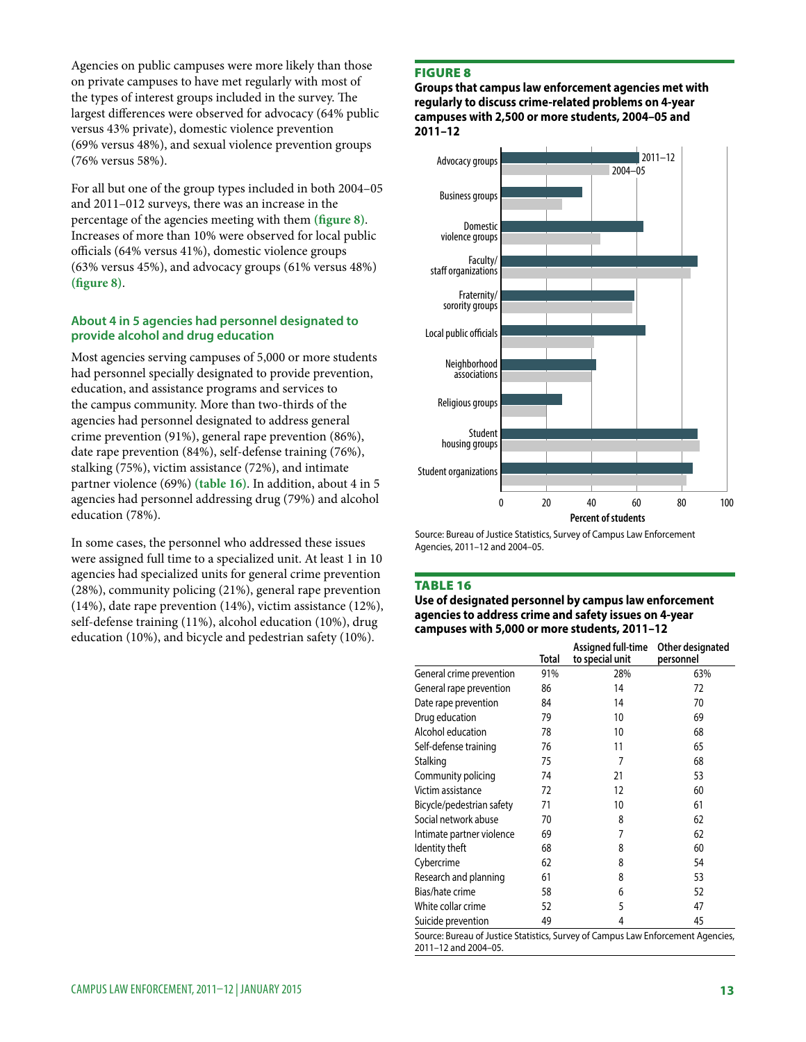Agencies on public campuses were more likely than those on private campuses to have met regularly with most of the types of interest groups included in the survey. The largest differences were observed for advocacy (64% public versus 43% private), domestic violence prevention (69% versus 48%), and sexual violence prevention groups (76% versus 58%).

For all but one of the group types included in both 2004–05 and 2011–012 surveys, there was an increase in the percentage of the agencies meeting with them **(figure 8)**. Increases of more than 10% were observed for local public officials (64% versus 41%), domestic violence groups (63% versus 45%), and advocacy groups (61% versus 48%) **(figure 8)**.

#### **About 4 in 5 agencies had personnel designated to provide alcohol and drug education**

Most agencies serving campuses of 5,000 or more students had personnel specially designated to provide prevention, education, and assistance programs and services to the campus community. More than two-thirds of the agencies had personnel designated to address general crime prevention (91%), general rape prevention (86%), date rape prevention (84%), self-defense training (76%), stalking (75%), victim assistance (72%), and intimate partner violence (69%) **(table 16)**. In addition, about 4 in 5 agencies had personnel addressing drug (79%) and alcohol education (78%).

In some cases, the personnel who addressed these issues were assigned full time to a specialized unit. At least 1 in 10 agencies had specialized units for general crime prevention (28%), community policing (21%), general rape prevention (14%), date rape prevention (14%), victim assistance (12%), self-defense training (11%), alcohol education (10%), drug education (10%), and bicycle and pedestrian safety (10%).

## Figure 8

**Groups that campus law enforcement agencies met with regularly to discuss crime-related problems on 4-year campuses with 2,500 or more students, 2004–05 and 2011–12** 



Source: Bureau of Justice Statistics, Survey of Campus Law Enforcement Agencies, 2011–12 and 2004–05.

#### **TABLE 16**

**Use of designated personnel by campus law enforcement agencies to address crime and safety issues on 4-year campuses with 5,000 or more students, 2011–12**

|                                                                                                          | Total | Assigned full-time<br>to special unit | Other designated<br>personnel |
|----------------------------------------------------------------------------------------------------------|-------|---------------------------------------|-------------------------------|
| General crime prevention                                                                                 | 91%   | 28%                                   | 63%                           |
| General rape prevention                                                                                  | 86    | 14                                    | 72                            |
| Date rape prevention                                                                                     | 84    | 14                                    | 70                            |
| Drug education                                                                                           | 79    | 10                                    | 69                            |
| Alcohol education                                                                                        | 78    | 10                                    | 68                            |
| Self-defense training                                                                                    | 76    | 11                                    | 65                            |
| Stalking                                                                                                 | 75    | 7                                     | 68                            |
| Community policing                                                                                       | 74    | 21                                    | 53                            |
| Victim assistance                                                                                        | 72    | 12                                    | 60                            |
| Bicycle/pedestrian safety                                                                                | 71    | 10                                    | 61                            |
| Social network abuse                                                                                     | 70    | 8                                     | 62                            |
| Intimate partner violence                                                                                | 69    | 7                                     | 62                            |
| Identity theft                                                                                           | 68    | 8                                     | 60                            |
| Cybercrime                                                                                               | 62    | 8                                     | 54                            |
| Research and planning                                                                                    | 61    | 8                                     | 53                            |
| Bias/hate crime                                                                                          | 58    | 6                                     | 52                            |
| White collar crime                                                                                       | 52    | 5                                     | 47                            |
| Suicide prevention                                                                                       | 49    | 4                                     | 45                            |
| Source: Bureau of Justice Statistics, Survey of Campus Law Enforcement Agencies,<br>2011-12 and 2004-05. |       |                                       |                               |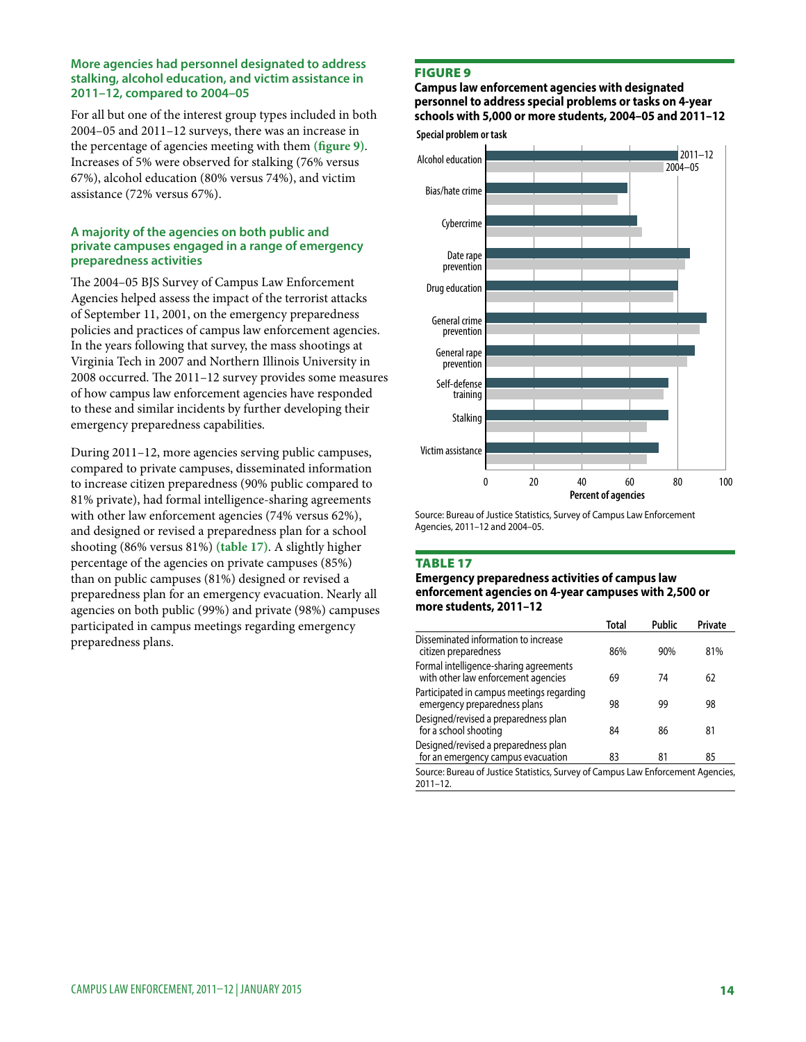#### **More agencies had personnel designated to address stalking, alcohol education, and victim assistance in 2011–12, compared to 2004–05**

For all but one of the interest group types included in both 2004–05 and 2011–12 surveys, there was an increase in the percentage of agencies meeting with them **(figure 9)**. Increases of 5% were observed for stalking (76% versus 67%), alcohol education (80% versus 74%), and victim assistance (72% versus 67%).

# **A majority of the agencies on both public and private campuses engaged in a range of emergency preparedness activities**

The 2004–05 BJS Survey of Campus Law Enforcement Agencies helped assess the impact of the terrorist attacks of September 11, 2001, on the emergency preparedness policies and practices of campus law enforcement agencies. In the years following that survey, the mass shootings at Virginia Tech in 2007 and Northern Illinois University in 2008 occurred. The 2011–12 survey provides some measures of how campus law enforcement agencies have responded to these and similar incidents by further developing their emergency preparedness capabilities.

During 2011–12, more agencies serving public campuses, compared to private campuses, disseminated information to increase citizen preparedness (90% public compared to 81% private), had formal intelligence-sharing agreements with other law enforcement agencies (74% versus 62%), and designed or revised a preparedness plan for a school shooting (86% versus 81%) **(table 17)**. A slightly higher percentage of the agencies on private campuses (85%) than on public campuses (81%) designed or revised a preparedness plan for an emergency evacuation. Nearly all agencies on both public (99%) and private (98%) campuses participated in campus meetings regarding emergency preparedness plans.

# Figure 9

**Special problem or task Campus law enforcement agencies with designated personnel to address special problems or tasks on 4-year schools with 5,000 or more students, 2004–05 and 2011–12** 



Source: Bureau of Justice Statistics, Survey of Campus Law Enforcement Agencies, 2011–12 and 2004–05.

#### Table 17

#### **Emergency preparedness activities of campus law enforcement agencies on 4-year campuses with 2,500 or more students, 2011–12**

|                                                                                | Total | Public | Private |
|--------------------------------------------------------------------------------|-------|--------|---------|
| Disseminated information to increase<br>citizen preparedness                   | 86%   | 90%    | 81%     |
| Formal intelligence-sharing agreements<br>with other law enforcement agencies  | 69    | 74     | 62      |
| Participated in campus meetings regarding<br>emergency preparedness plans      | 98    | 99     | 98      |
| Designed/revised a preparedness plan<br>for a school shooting                  | 84    | 86     | 81      |
| Designed/revised a preparedness plan<br>for an emergency campus evacuation     | 83    | 81     | 85      |
| Course Burgau of Lustice Ctatistics, Curvey of Campus Law Enforcement Agencies |       |        |         |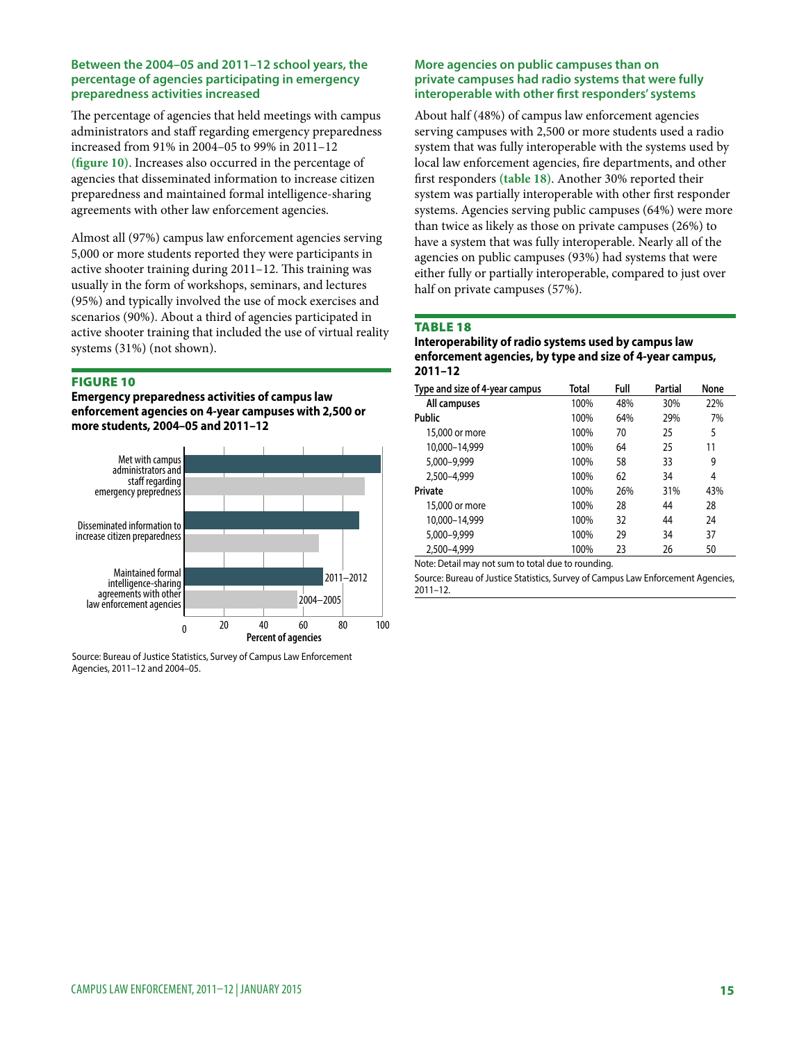#### **Between the 2004–05 and 2011–12 school years, the percentage of agencies participating in emergency preparedness activities increased**

The percentage of agencies that held meetings with campus administrators and staff regarding emergency preparedness increased from 91% in 2004–05 to 99% in 2011–12 **(figure 10)**. Increases also occurred in the percentage of agencies that disseminated information to increase citizen preparedness and maintained formal intelligence-sharing agreements with other law enforcement agencies.

Almost all (97%) campus law enforcement agencies serving 5,000 or more students reported they were participants in active shooter training during 2011–12. This training was usually in the form of workshops, seminars, and lectures (95%) and typically involved the use of mock exercises and scenarios (90%). About a third of agencies participated in active shooter training that included the use of virtual reality systems (31%) (not shown).

#### Figure 10

**Emergency preparedness activities of campus law enforcement agencies on 4-year campuses with 2,500 or more students, 2004–05 and 2011–12**



Source: Bureau of Justice Statistics, Survey of Campus Law Enforcement Agencies, 2011–12 and 2004–05.

#### **More agencies on public campuses than on private campuses had radio systems that were fully interoperable with other first responders' systems**

About half (48%) of campus law enforcement agencies serving campuses with 2,500 or more students used a radio system that was fully interoperable with the systems used by local law enforcement agencies, fire departments, and other first responders **(table 18)**. Another 30% reported their system was partially interoperable with other first responder systems. Agencies serving public campuses (64%) were more than twice as likely as those on private campuses (26%) to have a system that was fully interoperable. Nearly all of the agencies on public campuses (93%) had systems that were either fully or partially interoperable, compared to just over half on private campuses (57%).

#### Table 18

#### **Interoperability of radio systems used by campus law enforcement agencies, by type and size of 4-year campus, 2011–12**

| Type and size of 4-year campus | Total | Full | Partial | None |
|--------------------------------|-------|------|---------|------|
| All campuses                   | 100%  | 48%  | 30%     | 22%  |
| Public                         | 100%  | 64%  | 29%     | 7%   |
| 15,000 or more                 | 100%  | 70   | 25      | 5    |
| 10.000-14.999                  | 100%  | 64   | 25      | 11   |
| 5,000-9,999                    | 100%  | 58   | 33      | 9    |
| 2.500-4.999                    | 100%  | 62   | 34      | 4    |
| Private                        | 100%  | 26%  | 31%     | 43%  |
| 15,000 or more                 | 100%  | 28   | 44      | 28   |
| 10.000-14.999                  | 100%  | 32   | 44      | 24   |
| 5,000-9,999                    | 100%  | 29   | 34      | 37   |
| 2,500-4,999                    | 100%  | 23   | 26      | 50   |

Note: Detail may not sum to total due to rounding.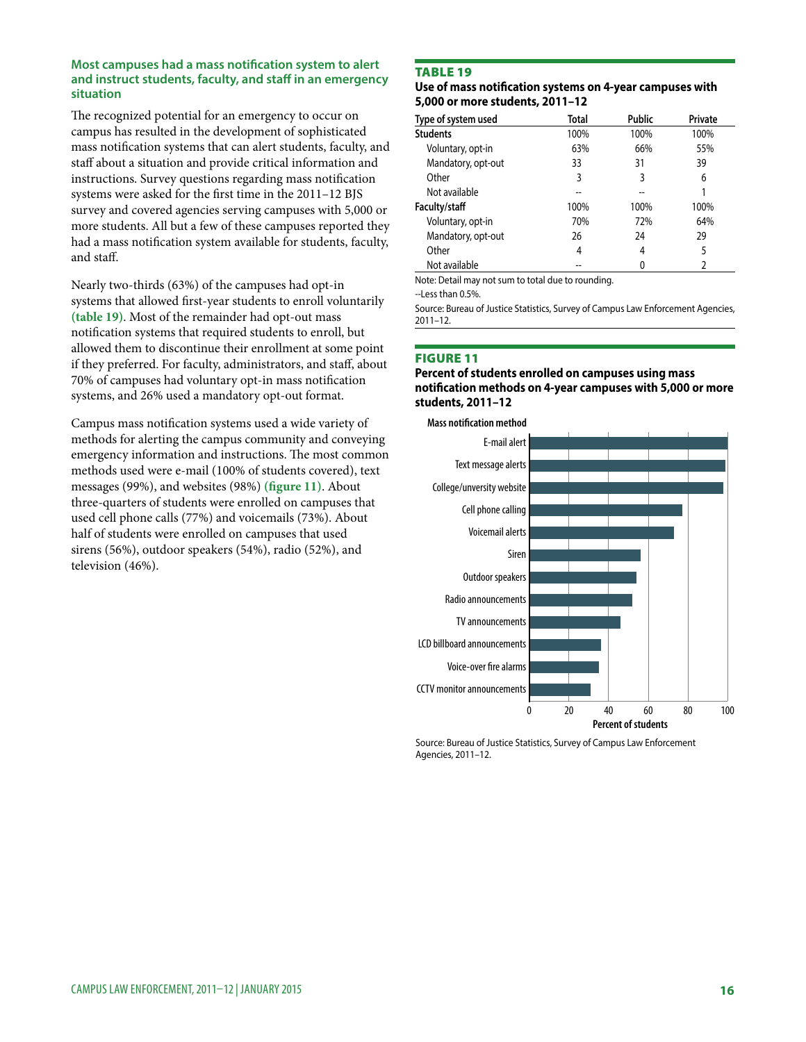#### **Most campuses had a mass notification system to alert and instruct students, faculty, and staff in an emergency situation**

The recognized potential for an emergency to occur on campus has resulted in the development of sophisticated mass notification systems that can alert students, faculty, and staff about a situation and provide critical information and instructions. Survey questions regarding mass notification systems were asked for the first time in the 2011–12 BJS survey and covered agencies serving campuses with 5,000 or more students. All but a few of these campuses reported they had a mass notification system available for students, faculty, and staff.

Nearly two-thirds (63%) of the campuses had opt-in systems that allowed first-year students to enroll voluntarily **(table 19)**. Most of the remainder had opt-out mass notification systems that required students to enroll, but allowed them to discontinue their enrollment at some point if they preferred. For faculty, administrators, and staff, about 70% of campuses had voluntary opt-in mass notification systems, and 26% used a mandatory opt-out format.

Campus mass notification systems used a wide variety of methods for alerting the campus community and conveying emergency information and instructions. The most common methods used were e-mail (100% of students covered), text messages (99%), and websites (98%) **(figure 11)**. About three-quarters of students were enrolled on campuses that used cell phone calls (77%) and voicemails (73%). About half of students were enrolled on campuses that used sirens (56%), outdoor speakers (54%), radio (52%), and television (46%).

# **TABLE 19**

#### **Use of mass notification systems on 4-year campuses with 5,000 or more students, 2011–12**

| Type of system used | Total | <b>Public</b> | Private |
|---------------------|-------|---------------|---------|
| <b>Students</b>     | 100%  | 100%          | 100%    |
| Voluntary, opt-in   | 63%   | 66%           | 55%     |
| Mandatory, opt-out  | 33    | 31            | 39      |
| Other               | 3     | 3             | 6       |
| Not available       | --    |               |         |
| Faculty/staff       | 100%  | 100%          | 100%    |
| Voluntary, opt-in   | 70%   | 72%           | 64%     |
| Mandatory, opt-out  | 26    | 24            | 29      |
| Other               | 4     | 4             | 5       |
| Not available       | --    |               | 2       |

Note: Detail may not sum to total due to rounding.

--Less than 0.5%.

Source: Bureau of Justice Statistics, Survey of Campus Law Enforcement Agencies, 2011–12.

#### Figure 11

#### **Percent of students enrolled on campuses using mass notification methods on 4-year campuses with 5,000 or more students, 2011–12**



Source: Bureau of Justice Statistics, Survey of Campus Law Enforcement Agencies, 2011–12.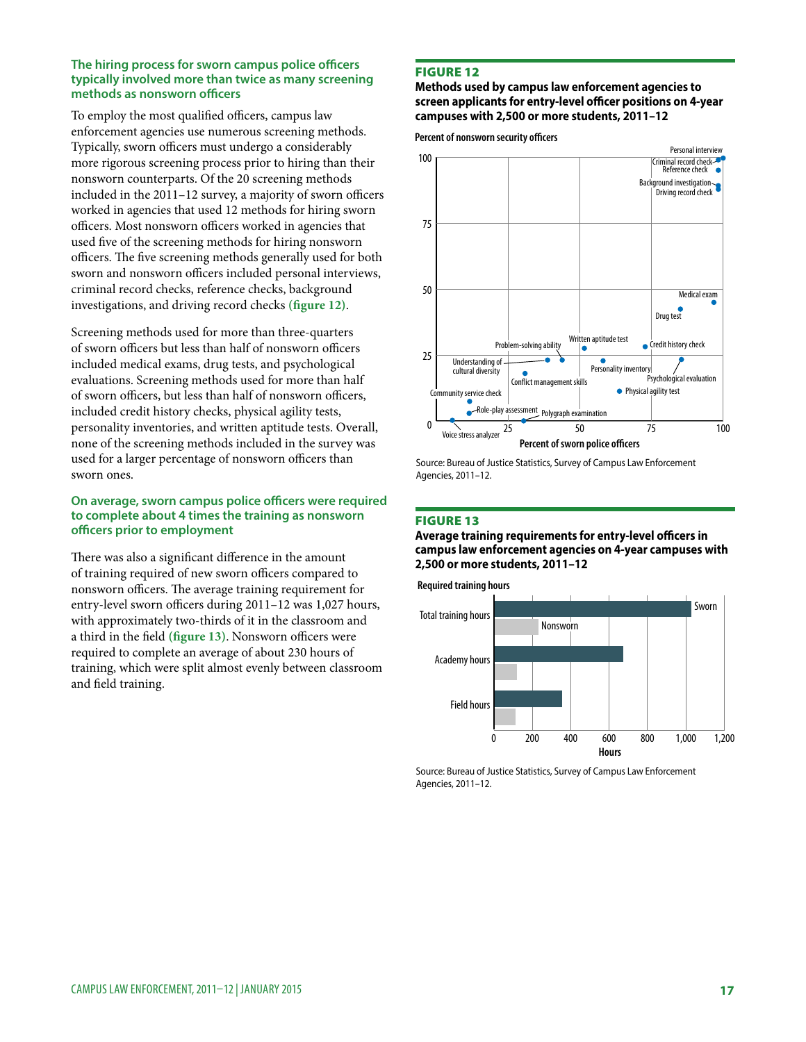#### **The hiring process for sworn campus police officers typically involved more than twice as many screening methods as nonsworn officers**

To employ the most qualified officers, campus law enforcement agencies use numerous screening methods. Typically, sworn officers must undergo a considerably more rigorous screening process prior to hiring than their nonsworn counterparts. Of the 20 screening methods included in the 2011–12 survey, a majority of sworn officers worked in agencies that used 12 methods for hiring sworn officers. Most nonsworn officers worked in agencies that used five of the screening methods for hiring nonsworn officers. The five screening methods generally used for both sworn and nonsworn officers included personal interviews, criminal record checks, reference checks, background investigations, and driving record checks **(figure 12)**.

Screening methods used for more than three-quarters of sworn officers but less than half of nonsworn officers included medical exams, drug tests, and psychological evaluations. Screening methods used for more than half of sworn officers, but less than half of nonsworn officers, included credit history checks, physical agility tests, personality inventories, and written aptitude tests. Overall, none of the screening methods included in the survey was used for a larger percentage of nonsworn officers than sworn ones.

#### **On average, sworn campus police officers were required to complete about 4 times the training as nonsworn officers prior to employment**

There was also a significant difference in the amount of training required of new sworn officers compared to nonsworn officers. The average training requirement for entry-level sworn officers during 2011–12 was 1,027 hours, with approximately two-thirds of it in the classroom and a third in the field **(figure 13)**. Nonsworn officers were required to complete an average of about 230 hours of training, which were split almost evenly between classroom and field training.

# Figure 12

#### **Methods used by campus law enforcement agencies to screen applicants for entry-level officer positions on 4-year campuses with 2,500 or more students, 2011–12**

Percent of nonsworn security officers



Source: Bureau of Justice Statistics, Survey of Campus Law Enforcement Agencies, 2011–12.

#### Figure 13

**Average training requirements for entry-level officers in campus law enforcement agencies on 4-year campuses with 2,500 or more students, 2011–12**

**Required training hours**

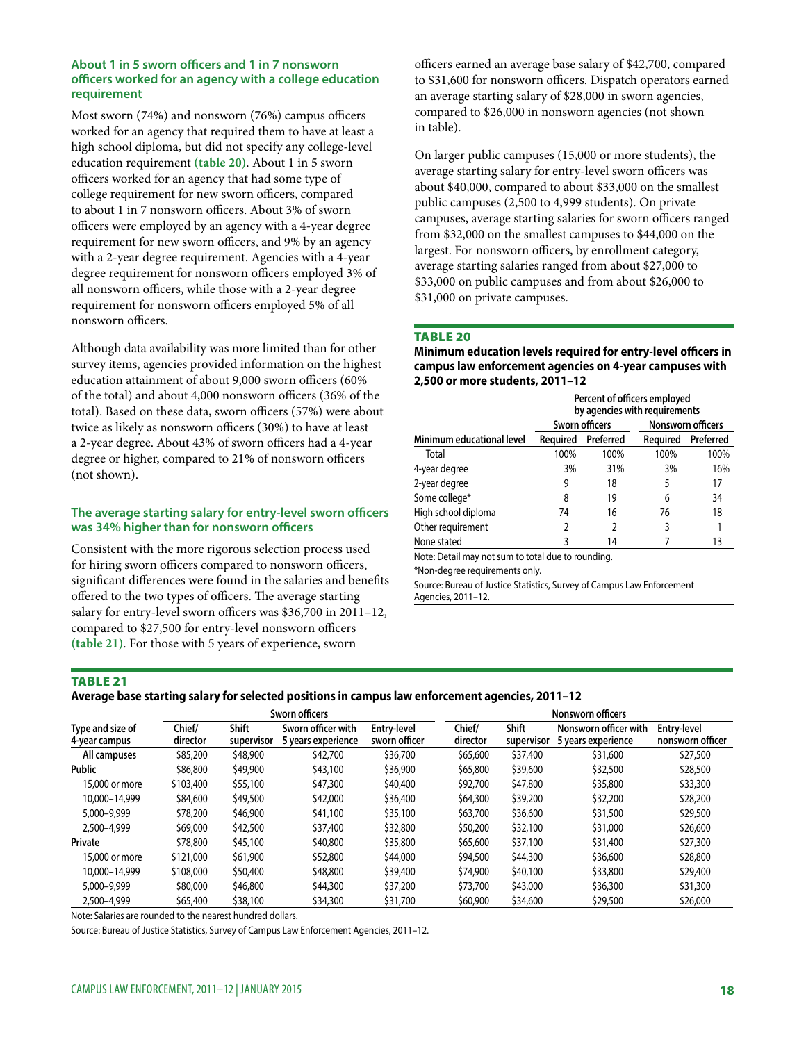#### **About 1 in 5 sworn officers and 1 in 7 nonsworn officers worked for an agency with a college education requirement**

Most sworn (74%) and nonsworn (76%) campus officers worked for an agency that required them to have at least a high school diploma, but did not specify any college-level education requirement **(table 20)**. About 1 in 5 sworn officers worked for an agency that had some type of college requirement for new sworn officers, compared to about 1 in 7 nonsworn officers. About 3% of sworn officers were employed by an agency with a 4-year degree requirement for new sworn officers, and 9% by an agency with a 2-year degree requirement. Agencies with a 4-year degree requirement for nonsworn officers employed 3% of all nonsworn officers, while those with a 2-year degree requirement for nonsworn officers employed 5% of all nonsworn officers.

Although data availability was more limited than for other survey items, agencies provided information on the highest education attainment of about 9,000 sworn officers (60% of the total) and about 4,000 nonsworn officers (36% of the total). Based on these data, sworn officers (57%) were about twice as likely as nonsworn officers (30%) to have at least a 2-year degree. About 43% of sworn officers had a 4-year degree or higher, compared to 21% of nonsworn officers (not shown).

## **The average starting salary for entry-level sworn officers was 34% higher than for nonsworn officers**

Consistent with the more rigorous selection process used for hiring sworn officers compared to nonsworn officers, significant differences were found in the salaries and benefits offered to the two types of officers. The average starting salary for entry-level sworn officers was \$36,700 in 2011–12, compared to \$27,500 for entry-level nonsworn officers **(table 21)**. For those with 5 years of experience, sworn

officers earned an average base salary of \$42,700, compared to \$31,600 for nonsworn officers. Dispatch operators earned an average starting salary of \$28,000 in sworn agencies, compared to \$26,000 in nonsworn agencies (not shown in table).

On larger public campuses (15,000 or more students), the average starting salary for entry-level sworn officers was about \$40,000, compared to about \$33,000 on the smallest public campuses (2,500 to 4,999 students). On private campuses, average starting salaries for sworn officers ranged from \$32,000 on the smallest campuses to \$44,000 on the largest. For nonsworn officers, by enrollment category, average starting salaries ranged from about \$27,000 to \$33,000 on public campuses and from about \$26,000 to \$31,000 on private campuses.

#### **TABLE 20**

**Minimum education levels required for entry-level officers in campus law enforcement agencies on 4-year campuses with 2,500 or more students, 2011–12**

|                           | Percent of officers employed<br>by agencies with requirements |                |                          |           |  |  |  |
|---------------------------|---------------------------------------------------------------|----------------|--------------------------|-----------|--|--|--|
|                           |                                                               | Sworn officers | <b>Nonsworn officers</b> |           |  |  |  |
| Minimum educational level | Reauired                                                      | Preferred      | <b>Reauired</b>          | Preferred |  |  |  |
| Total                     | 100%                                                          | 100%           | 100%                     | 100%      |  |  |  |
| 4-year degree             | 3%                                                            | 31%            | 3%                       | 16%       |  |  |  |
| 2-year degree             | 9                                                             | 18             | 5                        | 17        |  |  |  |
| Some college*             | 8                                                             | 19             | 6                        | 34        |  |  |  |
| High school diploma       | 74                                                            | 16             | 76                       | 18        |  |  |  |
| Other requirement         | 2                                                             | $\mathfrak z$  | 3                        |           |  |  |  |
| None stated               | 3                                                             | 14             |                          |           |  |  |  |

Note: Detail may not sum to total due to rounding.

\*Non-degree requirements only.

Source: Bureau of Justice Statistics, Survey of Campus Law Enforcement Agencies, 2011–12.

#### TABLE 21

**Average base starting salary for selected positions in campus law enforcement agencies, 2011–12**

|                                   |                    |                     | Sworn officers                           |                              | <b>Nonsworn officers</b> |                     |                                             |                                        |
|-----------------------------------|--------------------|---------------------|------------------------------------------|------------------------------|--------------------------|---------------------|---------------------------------------------|----------------------------------------|
| Type and size of<br>4-year campus | Chief/<br>director | Shift<br>supervisor | Sworn officer with<br>5 years experience | Entry-level<br>sworn officer | Chief/<br>director       | Shift<br>supervisor | Nonsworn officer with<br>5 years experience | <b>Entry-level</b><br>nonsworn officer |
| All campuses                      | \$85,200           | \$48,900            | \$42,700                                 | \$36,700                     | \$65,600                 | \$37,400            | \$31,600                                    | \$27,500                               |
| <b>Public</b>                     | \$86,800           | \$49,900            | \$43,100                                 | \$36,900                     | \$65,800                 | \$39,600            | \$32,500                                    | \$28,500                               |
| 15,000 or more                    | \$103,400          | \$55,100            | \$47,300                                 | \$40,400                     | \$92,700                 | \$47,800            | \$35,800                                    | \$33,300                               |
| 10.000-14.999                     | \$84,600           | \$49,500            | \$42,000                                 | \$36,400                     | \$64,300                 | \$39,200            | \$32,200                                    | \$28,200                               |
| 5,000-9,999                       | \$78,200           | \$46,900            | \$41,100                                 | \$35,100                     | \$63,700                 | \$36,600            | \$31,500                                    | \$29,500                               |
| 2.500-4.999                       | \$69,000           | \$42,500            | \$37,400                                 | \$32,800                     | \$50,200                 | \$32,100            | \$31,000                                    | \$26,600                               |
| Private                           | \$78,800           | \$45,100            | \$40,800                                 | \$35,800                     | \$65,600                 | \$37,100            | \$31,400                                    | \$27,300                               |
| 15,000 or more                    | \$121,000          | \$61,900            | \$52,800                                 | \$44,000                     | \$94,500                 | \$44,300            | \$36,600                                    | \$28,800                               |
| 10.000-14.999                     | \$108,000          | \$50,400            | \$48,800                                 | \$39,400                     | \$74,900                 | \$40,100            | \$33,800                                    | \$29,400                               |
| 5,000-9,999                       | \$80,000           | \$46,800            | \$44,300                                 | \$37,200                     | \$73,700                 | \$43,000            | \$36,300                                    | \$31,300                               |
| 2,500-4,999                       | \$65,400           | \$38,100            | \$34,300                                 | \$31,700                     | \$60,900                 | \$34,600            | \$29,500                                    | \$26,000                               |

Note: Salaries are rounded to the nearest hundred dollars.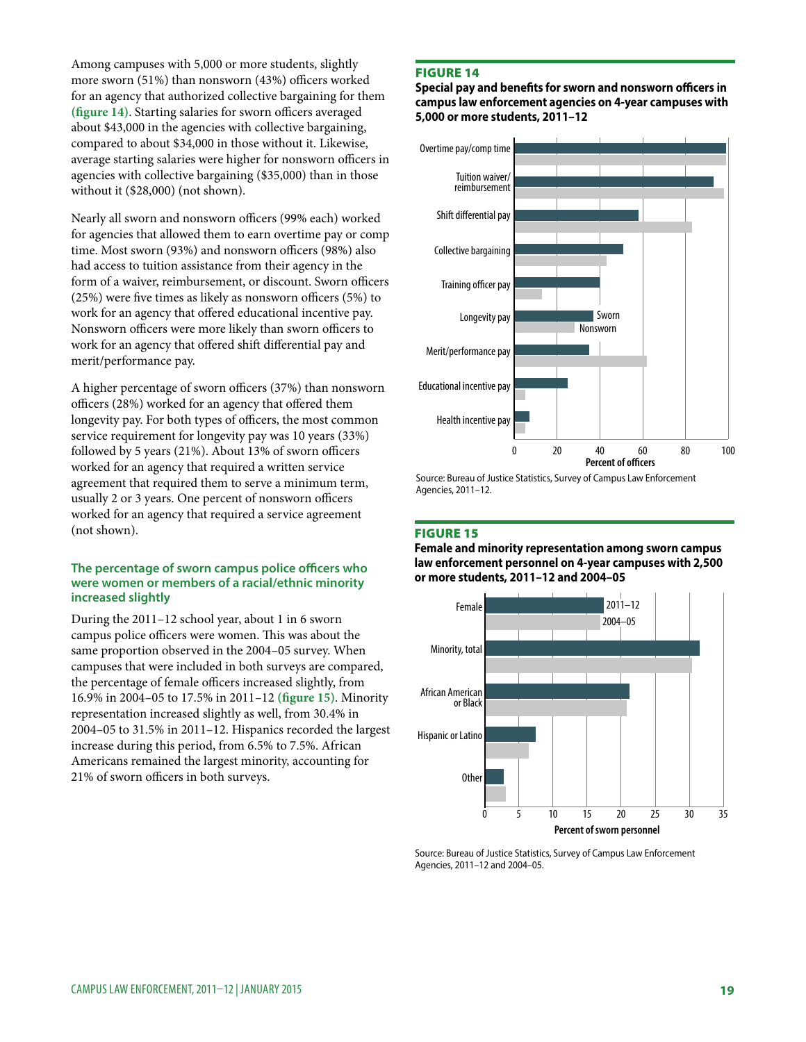Among campuses with 5,000 or more students, slightly more sworn (51%) than nonsworn (43%) officers worked for an agency that authorized collective bargaining for them **(figure 14)**. Starting salaries for sworn officers averaged about \$43,000 in the agencies with collective bargaining, compared to about \$34,000 in those without it. Likewise, average starting salaries were higher for nonsworn officers in agencies with collective bargaining (\$35,000) than in those without it (\$28,000) (not shown).

Nearly all sworn and nonsworn officers (99% each) worked for agencies that allowed them to earn overtime pay or comp time. Most sworn (93%) and nonsworn officers (98%) also had access to tuition assistance from their agency in the form of a waiver, reimbursement, or discount. Sworn officers (25%) were five times as likely as nonsworn officers (5%) to work for an agency that offered educational incentive pay. Nonsworn officers were more likely than sworn officers to work for an agency that offered shift differential pay and merit/performance pay.

A higher percentage of sworn officers (37%) than nonsworn officers (28%) worked for an agency that offered them longevity pay. For both types of officers, the most common service requirement for longevity pay was 10 years (33%) followed by 5 years (21%). About 13% of sworn officers worked for an agency that required a written service agreement that required them to serve a minimum term, usually 2 or 3 years. One percent of nonsworn officers worked for an agency that required a service agreement (not shown).

#### **The percentage of sworn campus police officers who were women or members of a racial/ethnic minority increased slightly**

During the 2011–12 school year, about 1 in 6 sworn campus police officers were women. This was about the same proportion observed in the 2004–05 survey. When campuses that were included in both surveys are compared, the percentage of female officers increased slightly, from 16.9% in 2004–05 to 17.5% in 2011–12 **(figure 15)**. Minority representation increased slightly as well, from 30.4% in 2004–05 to 31.5% in 2011–12. Hispanics recorded the largest increase during this period, from 6.5% to 7.5%. African Americans remained the largest minority, accounting for 21% of sworn officers in both surveys.

#### Figure 14

**Special pay and benefits for sworn and nonsworn officers in campus law enforcement agencies on 4-year campuses with 5,000 or more students, 2011–12**



Source: Bureau of Justice Statistics, Survey of Campus Law Enforcement Agencies, 2011–12.

#### Figure 15

**Female and minority representation among sworn campus law enforcement personnel on 4-year campuses with 2,500 or more students, 2011–12 and 2004–05**



Source: Bureau of Justice Statistics, Survey of Campus Law Enforcement Agencies, 2011–12 and 2004–05.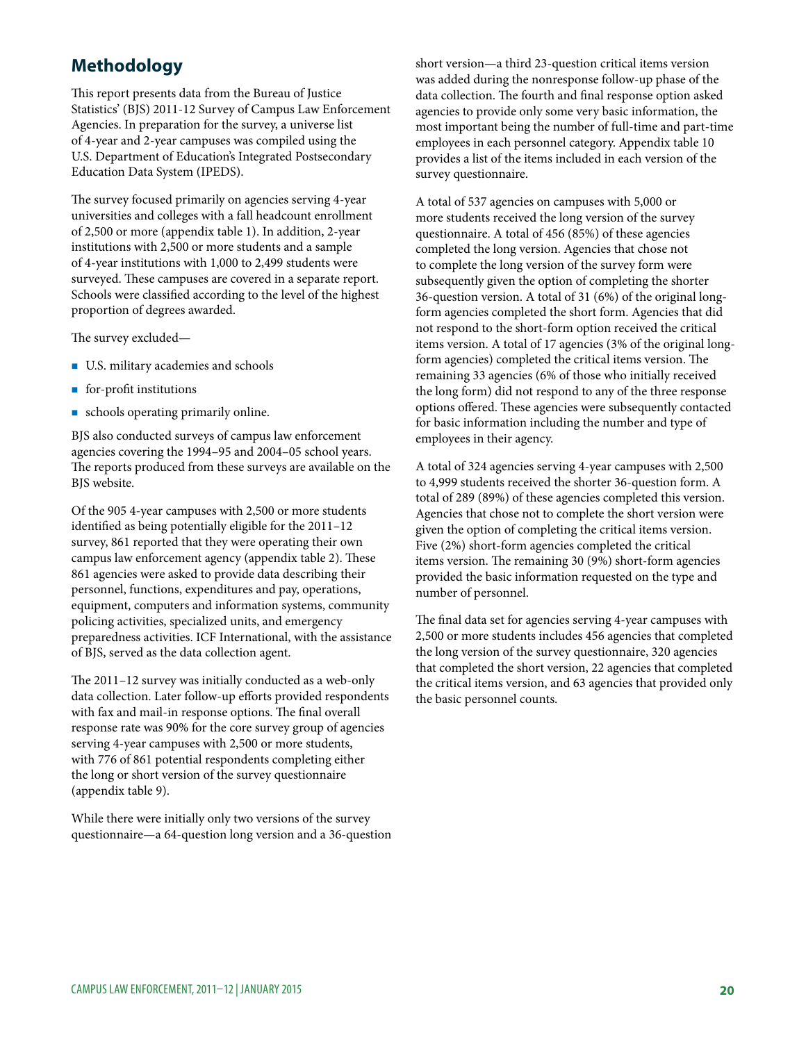# **Methodology**

This report presents data from the Bureau of Justice Statistics' (BJS) 2011-12 Survey of Campus Law Enforcement Agencies. In preparation for the survey, a universe list of 4-year and 2-year campuses was compiled using the U.S. Department of Education's Integrated Postsecondary Education Data System (IPEDS).

The survey focused primarily on agencies serving 4-year universities and colleges with a fall headcount enrollment of 2,500 or more (appendix table 1). In addition, 2-year institutions with 2,500 or more students and a sample of 4-year institutions with 1,000 to 2,499 students were surveyed. These campuses are covered in a separate report. Schools were classified according to the level of the highest proportion of degrees awarded.

The survey excluded—

- U.S. military academies and schools
- $\blacksquare$  for-profit institutions
- schools operating primarily online.

BJS also conducted surveys of campus law enforcement agencies covering the 1994–95 and 2004–05 school years. The reports produced from these surveys are available on the BJS website.

Of the 905 4-year campuses with 2,500 or more students identified as being potentially eligible for the 2011–12 survey, 861 reported that they were operating their own campus law enforcement agency (appendix table 2). These 861 agencies were asked to provide data describing their personnel, functions, expenditures and pay, operations, equipment, computers and information systems, community policing activities, specialized units, and emergency preparedness activities. ICF International, with the assistance of BJS, served as the data collection agent.

The 2011–12 survey was initially conducted as a web-only data collection. Later follow-up efforts provided respondents with fax and mail-in response options. The final overall response rate was 90% for the core survey group of agencies serving 4-year campuses with 2,500 or more students, with 776 of 861 potential respondents completing either the long or short version of the survey questionnaire (appendix table 9).

While there were initially only two versions of the survey questionnaire—a 64-question long version and a 36-question short version—a third 23-question critical items version was added during the nonresponse follow-up phase of the data collection. The fourth and final response option asked agencies to provide only some very basic information, the most important being the number of full-time and part-time employees in each personnel category. Appendix table 10 provides a list of the items included in each version of the survey questionnaire.

A total of 537 agencies on campuses with 5,000 or more students received the long version of the survey questionnaire. A total of 456 (85%) of these agencies completed the long version. Agencies that chose not to complete the long version of the survey form were subsequently given the option of completing the shorter 36-question version. A total of 31 (6%) of the original longform agencies completed the short form. Agencies that did not respond to the short-form option received the critical items version. A total of 17 agencies (3% of the original longform agencies) completed the critical items version. The remaining 33 agencies (6% of those who initially received the long form) did not respond to any of the three response options offered. These agencies were subsequently contacted for basic information including the number and type of employees in their agency.

A total of 324 agencies serving 4-year campuses with 2,500 to 4,999 students received the shorter 36-question form. A total of 289 (89%) of these agencies completed this version. Agencies that chose not to complete the short version were given the option of completing the critical items version. Five (2%) short-form agencies completed the critical items version. The remaining 30 (9%) short-form agencies provided the basic information requested on the type and number of personnel.

The final data set for agencies serving 4-year campuses with 2,500 or more students includes 456 agencies that completed the long version of the survey questionnaire, 320 agencies that completed the short version, 22 agencies that completed the critical items version, and 63 agencies that provided only the basic personnel counts.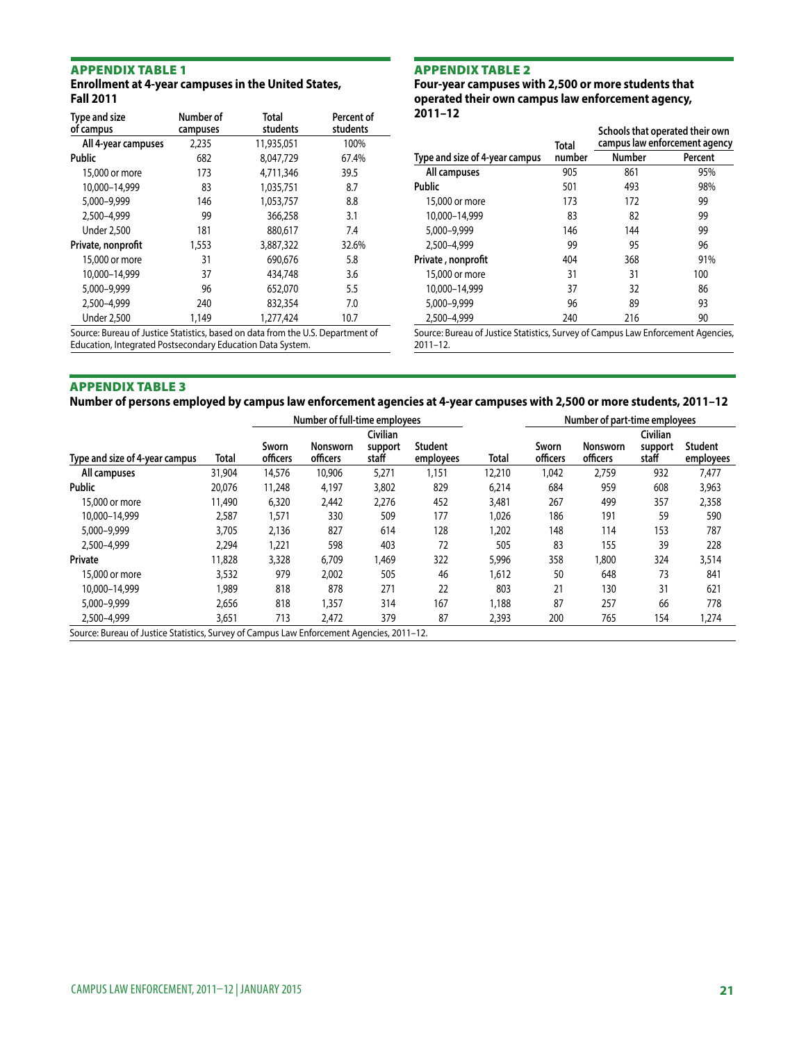#### **Enrollment at 4-year campuses in the United States, Fall 2011**

| Type and size<br>of campus | Number of<br>campuses | <b>Total</b><br>students | Percent of<br>students |
|----------------------------|-----------------------|--------------------------|------------------------|
| All 4-year campuses        | 2,235                 | 11,935,051               | 100%                   |
| <b>Public</b>              | 682                   | 8,047,729                | 67.4%                  |
| 15,000 or more             | 173                   | 4,711,346                | 39.5                   |
| 10,000-14,999              | 83                    | 1,035,751                | 8.7                    |
| 5,000-9,999                | 146                   | 1.053.757                | 8.8                    |
| 2,500-4,999                | 99                    | 366,258                  | 3.1                    |
| <b>Under 2.500</b>         | 181                   | 880.617                  | 7.4                    |
| Private, nonprofit         | 1,553                 | 3,887,322                | 32.6%                  |
| 15,000 or more             | 31                    | 690,676                  | 5.8                    |
| 10,000-14,999              | 37                    | 434,748                  | 3.6                    |
| 5,000-9,999                | 96                    | 652,070                  | 5.5                    |
| 2.500-4.999                | 240                   | 832,354                  | 7.0                    |
| <b>Under 2,500</b>         | 1.149                 | 1.277.424                | 10.7                   |
| $\sim$                     |                       | $\blacksquare$           |                        |

Source: Bureau of Justice Statistics, based on data from the U.S. Department of Education, Integrated Postsecondary Education Data System.

#### Appendix table 2

**Four-year campuses with 2,500 or more students that operated their own campus law enforcement agency, 2011–12**

|                                                                                 | <b>Total</b> | Schools that operated their own<br>campus law enforcement agency |         |  |  |
|---------------------------------------------------------------------------------|--------------|------------------------------------------------------------------|---------|--|--|
| Type and size of 4-year campus                                                  | number       | <b>Number</b>                                                    | Percent |  |  |
| All campuses                                                                    | 905          | 861                                                              | 95%     |  |  |
| <b>Public</b>                                                                   | 501          | 493                                                              | 98%     |  |  |
| 15,000 or more                                                                  | 173          | 172                                                              | 99      |  |  |
| 10.000-14.999                                                                   | 83           | 82                                                               | 99      |  |  |
| 5,000-9,999                                                                     | 146          | 144                                                              | 99      |  |  |
| 2.500-4.999                                                                     | 99           | 95                                                               | 96      |  |  |
| Private, nonprofit                                                              | 404          | 368                                                              | 91%     |  |  |
| 15,000 or more                                                                  | 31           | 31                                                               | 100     |  |  |
| 10.000-14.999                                                                   | 37           | 32                                                               | 86      |  |  |
| 5,000-9,999                                                                     | 96           | 89                                                               | 93      |  |  |
| 2.500-4.999                                                                     | 240          | 216                                                              | 90      |  |  |
| Source: Rureau of Justice Statistics, Survey of Campus Law Enforcement Agencies |              |                                                                  |         |  |  |

Source: Bureau of Justice Statistics, Survey of Campus Law Enforcement Agencies, 2011–12.

#### Appendix table 3

**Number of persons employed by campus law enforcement agencies at 4-year campuses with 2,500 or more students, 2011–12** 

|                                                                                           | Number of full-time employees |                   |                      |                  |                             |        | Number of part-time employees |                             |                  |                             |
|-------------------------------------------------------------------------------------------|-------------------------------|-------------------|----------------------|------------------|-----------------------------|--------|-------------------------------|-----------------------------|------------------|-----------------------------|
|                                                                                           |                               |                   |                      | Civilian         |                             |        |                               |                             | Civilian         |                             |
| Type and size of 4-year campus                                                            | Total                         | Sworn<br>officers | Nonsworn<br>officers | support<br>staff | <b>Student</b><br>employees | Total  | Sworn<br>officers             | <b>Nonsworn</b><br>officers | support<br>staff | <b>Student</b><br>employees |
| All campuses                                                                              | 31,904                        | 14,576            | 10,906               | 5,271            | 1,151                       | 12,210 | 1,042                         | 2,759                       | 932              | 7,477                       |
| <b>Public</b>                                                                             | 20.076                        | 11,248            | 4.197                | 3,802            | 829                         | 6,214  | 684                           | 959                         | 608              | 3,963                       |
| 15,000 or more                                                                            | 11,490                        | 6,320             | 2,442                | 2,276            | 452                         | 3,481  | 267                           | 499                         | 357              | 2,358                       |
| 10.000-14.999                                                                             | 2,587                         | 571,ا             | 330                  | 509              | 177                         | 1,026  | 186                           | 191                         | 59               | 590                         |
| 5,000-9,999                                                                               | 3,705                         | 2,136             | 827                  | 614              | 128                         | 1,202  | 148                           | 114                         | 153              | 787                         |
| 2,500-4,999                                                                               | 2,294                         | 1,221             | 598                  | 403              | 72                          | 505    | 83                            | 155                         | 39               | 228                         |
| Private                                                                                   | 11,828                        | 3,328             | 6,709                | 1,469            | 322                         | 5,996  | 358                           | 1,800                       | 324              | 3,514                       |
| 15,000 or more                                                                            | 3,532                         | 979               | 2,002                | 505              | 46                          | 1,612  | 50                            | 648                         | 73               | 841                         |
| 10.000-14.999                                                                             | 1.989                         | 818               | 878                  | 271              | 22                          | 803    | 21                            | 130                         | 31               | 621                         |
| 5,000-9,999                                                                               | 2,656                         | 818               | 1,357                | 314              | 167                         | 1,188  | 87                            | 257                         | 66               | 778                         |
| 2,500-4,999                                                                               | 3,651                         | 713               | 2.472                | 379              | 87                          | 2,393  | 200                           | 765                         | 154              | 1,274                       |
| Source: Bureau of Justice Statistics, Survey of Campus Law Enforcement Agencies, 2011-12. |                               |                   |                      |                  |                             |        |                               |                             |                  |                             |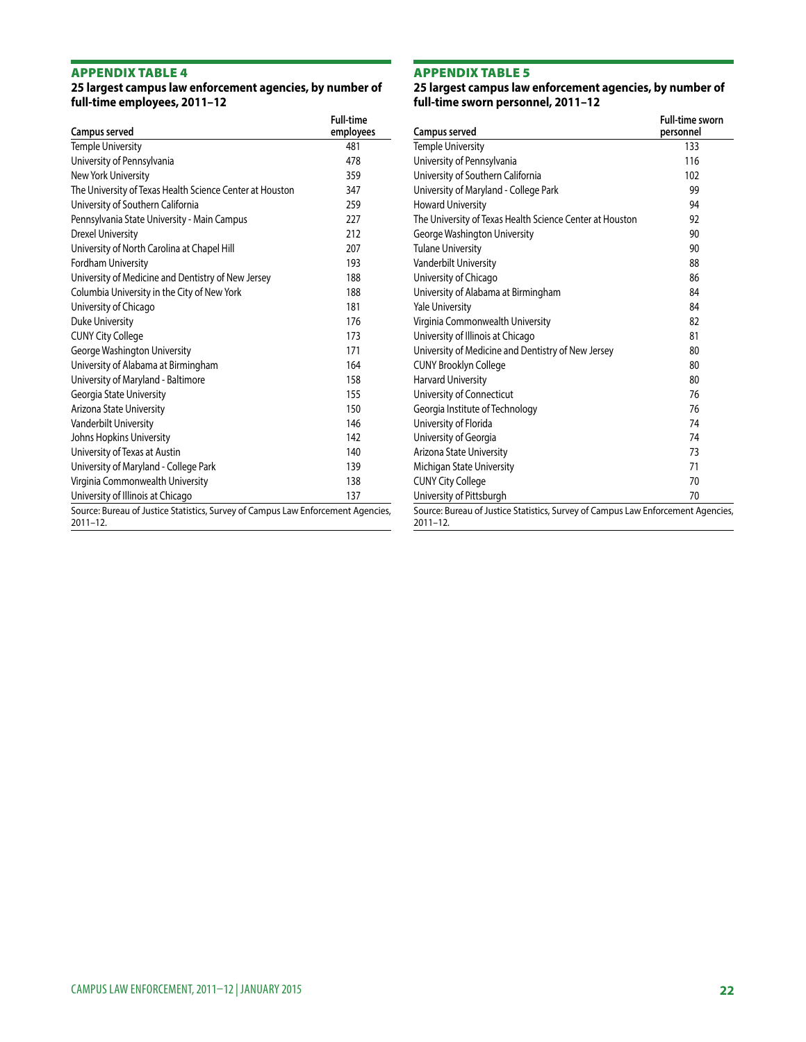#### **25 largest campus law enforcement agencies, by number of full-time employees, 2011–12**

| Campus served                                                                                    | <b>Full-time</b><br>employees |
|--------------------------------------------------------------------------------------------------|-------------------------------|
| <b>Temple University</b>                                                                         | 481                           |
| University of Pennsylvania                                                                       | 478                           |
| New York University                                                                              | 359                           |
| The University of Texas Health Science Center at Houston                                         | 347                           |
| University of Southern California                                                                | 259                           |
| Pennsylvania State University - Main Campus                                                      | 227                           |
| <b>Drexel University</b>                                                                         | 212                           |
| University of North Carolina at Chapel Hill                                                      | 207                           |
| <b>Fordham University</b>                                                                        | 193                           |
| University of Medicine and Dentistry of New Jersey                                               | 188                           |
| Columbia University in the City of New York                                                      | 188                           |
| University of Chicago                                                                            | 181                           |
| <b>Duke University</b>                                                                           | 176                           |
| <b>CUNY City College</b>                                                                         | 173                           |
| George Washington University                                                                     | 171                           |
| University of Alabama at Birmingham                                                              | 164                           |
| University of Maryland - Baltimore                                                               | 158                           |
| Georgia State University                                                                         | 155                           |
| Arizona State University                                                                         | 150                           |
| Vanderbilt University                                                                            | 146                           |
| Johns Hopkins University                                                                         | 142                           |
| University of Texas at Austin                                                                    | 140                           |
| University of Maryland - College Park                                                            | 139                           |
| Virginia Commonwealth University                                                                 | 138                           |
| University of Illinois at Chicago                                                                | 137                           |
| Source: Bureau of Justice Statistics, Survey of Campus Law Enforcement Agencies,<br>$2011 - 12.$ |                               |

# Appendix table 5

**25 largest campus law enforcement agencies, by number of full-time sworn personnel, 2011–12**

| Campus served                                                                                    | <b>Full-time sworn</b><br>personnel |
|--------------------------------------------------------------------------------------------------|-------------------------------------|
| Temple University                                                                                | 133                                 |
| University of Pennsylvania                                                                       | 116                                 |
| University of Southern California                                                                | 102                                 |
| University of Maryland - College Park                                                            | 99                                  |
| <b>Howard University</b>                                                                         | 94                                  |
| The University of Texas Health Science Center at Houston                                         | 92                                  |
| George Washington University                                                                     | 90                                  |
| <b>Tulane University</b>                                                                         | 90                                  |
| Vanderbilt University                                                                            | 88                                  |
| University of Chicago                                                                            | 86                                  |
| University of Alabama at Birmingham                                                              | 84                                  |
| <b>Yale University</b>                                                                           | 84                                  |
| Virginia Commonwealth University                                                                 | 82                                  |
| University of Illinois at Chicago                                                                | 81                                  |
| University of Medicine and Dentistry of New Jersey                                               | 80                                  |
| <b>CUNY Brooklyn College</b>                                                                     | 80                                  |
| <b>Harvard University</b>                                                                        | 80                                  |
| University of Connecticut                                                                        | 76                                  |
| Georgia Institute of Technology                                                                  | 76                                  |
| University of Florida                                                                            | 74                                  |
| University of Georgia                                                                            | 74                                  |
| Arizona State University                                                                         | 73                                  |
| Michigan State University                                                                        | 71                                  |
| <b>CUNY City College</b>                                                                         | 70                                  |
| University of Pittsburgh                                                                         | 70                                  |
| Source: Bureau of Justice Statistics, Survey of Campus Law Enforcement Agencies,<br>$2011 - 12.$ |                                     |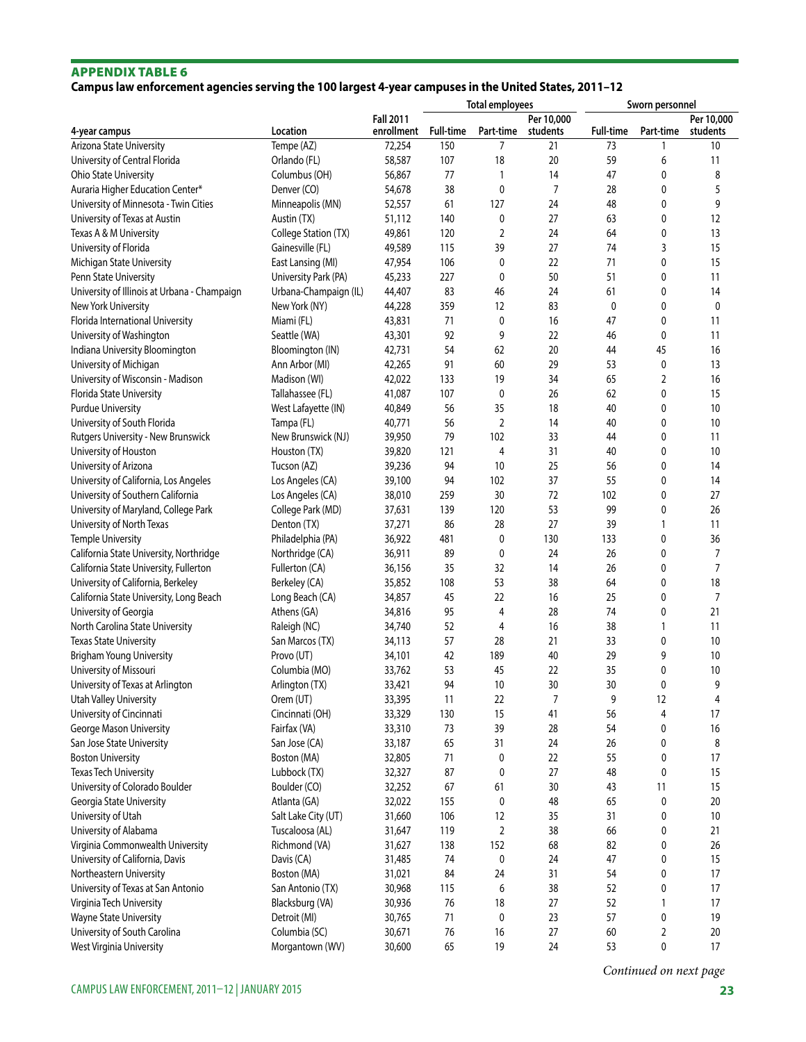# **Campus law enforcement agencies serving the 100 largest 4-year campuses in the United States, 2011–12**

|                                              |                               |                                | <b>Total employees</b> |                |                        | Sworn personnel  |              |                        |
|----------------------------------------------|-------------------------------|--------------------------------|------------------------|----------------|------------------------|------------------|--------------|------------------------|
| 4-year campus                                | Location                      | <b>Fall 2011</b><br>enrollment | <b>Full-time</b>       | Part-time      | Per 10,000<br>students | <b>Full-time</b> | Part-time    | Per 10,000<br>students |
| Arizona State University                     | Tempe (AZ)                    | 72,254                         | 150                    | 7              | 21                     | 73               | 1            | 10                     |
| University of Central Florida                | Orlando (FL)                  | 58,587                         | 107                    | 18             | 20                     | 59               | 6            | 11                     |
| Ohio State University                        | Columbus (OH)                 | 56,867                         | 77                     | 1              | 14                     | 47               | 0            | 8                      |
| Auraria Higher Education Center*             | Denver (CO)                   | 54,678                         | 38                     | 0              | $\overline{7}$         | 28               | 0            | 5                      |
| University of Minnesota - Twin Cities        | Minneapolis (MN)              | 52,557                         | 61                     | 127            | 24                     | 48               | 0            | 9                      |
| University of Texas at Austin                | Austin (TX)                   | 51,112                         | 140                    | 0              | 27                     | 63               | 0            | 12                     |
| Texas A & M University                       | College Station (TX)          | 49,861                         | 120                    | 2              | 24                     | 64               | 0            | 13                     |
| University of Florida                        | Gainesville (FL)              | 49,589                         | 115                    | 39             | 27                     | 74               | 3            | 15                     |
| Michigan State University                    | East Lansing (MI)             | 47,954                         | 106                    | 0              | 22                     | 71               | 0            | 15                     |
| Penn State University                        | University Park (PA)          | 45,233                         | 227                    | 0              | 50                     | 51               | 0            | 11                     |
| University of Illinois at Urbana - Champaign | Urbana-Champaign (IL)         | 44,407                         | 83                     | 46             | 24                     | 61               | 0            | 14                     |
| New York University                          | New York (NY)                 | 44,228                         | 359                    | 12             | 83                     | 0                | 0            | 0                      |
| Florida International University             | Miami (FL)                    | 43,831                         | 71                     | 0              | 16                     | 47               | 0            | 11                     |
| University of Washington                     | Seattle (WA)                  | 43,301                         | 92                     | 9              | 22                     | 46               | 0            | 11                     |
| Indiana University Bloomington               | Bloomington (IN)              | 42,731                         | 54                     | 62             | 20                     | 44               | 45           | 16                     |
| University of Michigan                       | Ann Arbor (MI)                | 42,265                         | 91                     | 60             | 29                     | 53               | 0            | 13                     |
| University of Wisconsin - Madison            | Madison (WI)                  | 42,022                         | 133                    | 19             | 34                     | 65               | 2            | 16                     |
| Florida State University                     | Tallahassee (FL)              | 41,087                         | 107                    | 0              | 26                     | 62               | 0            | 15                     |
| <b>Purdue University</b>                     |                               |                                | 56                     |                | 18                     | 40               | 0            | 10                     |
|                                              | West Lafayette (IN)           | 40,849                         |                        | 35             |                        |                  |              |                        |
| University of South Florida                  | Tampa (FL)                    | 40,771                         | 56                     | $\overline{2}$ | 14                     | 40               | 0            | 10                     |
| Rutgers University - New Brunswick           | New Brunswick (NJ)            | 39,950                         | 79                     | 102            | 33                     | 44               | 0            | 11                     |
| University of Houston                        | Houston (TX)                  | 39,820                         | 121                    | 4              | 31                     | 40               | 0            | 10                     |
| University of Arizona                        | Tucson (AZ)                   | 39,236                         | 94                     | 10             | 25                     | 56               | 0            | 14                     |
| University of California, Los Angeles        | Los Angeles (CA)              | 39,100                         | 94                     | 102            | 37                     | 55               | 0            | 14                     |
| University of Southern California            | Los Angeles (CA)              | 38,010                         | 259                    | 30             | 72                     | 102              | 0            | 27                     |
| University of Maryland, College Park         | College Park (MD)             | 37,631                         | 139                    | 120            | 53                     | 99               | 0            | 26                     |
| University of North Texas                    | Denton (TX)                   | 37,271                         | 86                     | 28             | 27                     | 39               | 1            | 11                     |
| <b>Temple University</b>                     | Philadelphia (PA)             | 36,922                         | 481                    | 0              | 130                    | 133              | 0            | 36                     |
| California State University, Northridge      | Northridge (CA)               | 36,911                         | 89                     | 0              | 24                     | 26               | 0            | 7                      |
| California State University, Fullerton       | Fullerton (CA)                | 36,156                         | 35                     | 32             | 14                     | 26               | 0            | $\overline{7}$         |
| University of California, Berkeley           | Berkeley (CA)                 | 35,852                         | 108                    | 53             | 38                     | 64               | 0            | 18                     |
| California State University, Long Beach      | Long Beach (CA)               | 34,857                         | 45                     | 22             | 16                     | 25               | 0            | 7                      |
| University of Georgia                        | Athens (GA)                   | 34,816                         | 95                     | 4              | 28                     | 74               | 0            | 21                     |
| North Carolina State University              | Raleigh (NC)                  | 34,740                         | 52                     | 4              | 16                     | 38               | $\mathbf{1}$ | 11                     |
| <b>Texas State University</b>                | San Marcos (TX)               | 34,113                         | 57                     | 28             | 21                     | 33               | 0            | 10                     |
| Brigham Young University                     | Provo (UT)                    | 34,101                         | 42                     | 189            | 40                     | 29               | 9            | 10                     |
| University of Missouri                       | Columbia (MO)                 | 33,762                         | 53                     | 45             | 22                     | 35               | 0            | 10                     |
| University of Texas at Arlington             | Arlington (TX)                | 33,421                         | 94                     | 10             | 30                     | 30               | 0            | 9                      |
| Utah Valley University                       | Orem (UT)                     | 33,395                         | 11                     | 22             | 7                      | 9                | 12           | 4                      |
| University of Cincinnati                     | Cincinnati (OH)               | 33,329                         | 130                    | 15             | 41                     | 56               | 4            | 17                     |
| George Mason University                      | Fairfax (VA)                  | 33,310                         | 73                     | 39             | 28                     | 54               | 0            | 16                     |
| San Jose State University                    | San Jose (CA)                 | 33,187                         | 65                     | 31             | 24                     | 26               | 0            | 8                      |
| <b>Boston University</b>                     | Boston (MA)                   | 32,805                         | 71                     | 0              | 22                     | 55               | 0            | 17                     |
| Texas Tech University                        | Lubbock (TX)                  | 32,327                         | 87                     | 0              | 27                     | 48               | 0            | 15                     |
| University of Colorado Boulder               | Boulder (CO)                  | 32,252                         | 67                     | 61             | $30\,$                 | 43               | 11           | 15                     |
| Georgia State University                     | Atlanta (GA)                  | 32,022                         | 155                    | 0              | 48                     | 65               | 0            | 20                     |
| University of Utah                           | Salt Lake City (UT)           | 31,660                         | 106                    | 12             | 35                     | 31               | 0            | 10                     |
| University of Alabama                        | Tuscaloosa (AL)               | 31,647                         | 119                    | 2              | 38                     | 66               | 0            | 21                     |
| Virginia Commonwealth University             | Richmond (VA)                 | 31,627                         | 138                    | 152            | 68                     | 82               | 0            | 26                     |
| University of California, Davis              | Davis (CA)                    | 31,485                         | 74                     | 0              | 24                     | 47               | 0            | 15                     |
| Northeastern University                      | Boston (MA)                   | 31,021                         | 84                     | 24             | 31                     | 54               | 0            | 17                     |
| University of Texas at San Antonio           | San Antonio (TX)              | 30,968                         | 115                    | 6              | 38                     | 52               | 0            | 17                     |
| Virginia Tech University                     | Blacksburg (VA)               | 30,936                         | 76                     | 18             | 27                     | 52               | 1            | 17                     |
| Wayne State University                       |                               |                                | 71                     |                | 23                     | 57               | $\pmb{0}$    | 19                     |
| University of South Carolina                 | Detroit (MI)<br>Columbia (SC) | 30,765                         | 76                     | 0<br>$16$      | 27                     | 60               |              | 20                     |
| West Virginia University                     | Morgantown (WV)               | 30,671<br>30,600               | 65                     | 19             | 24                     | 53               | 2<br>0       | 17                     |
|                                              |                               |                                |                        |                |                        |                  |              |                        |

*Continued on next page*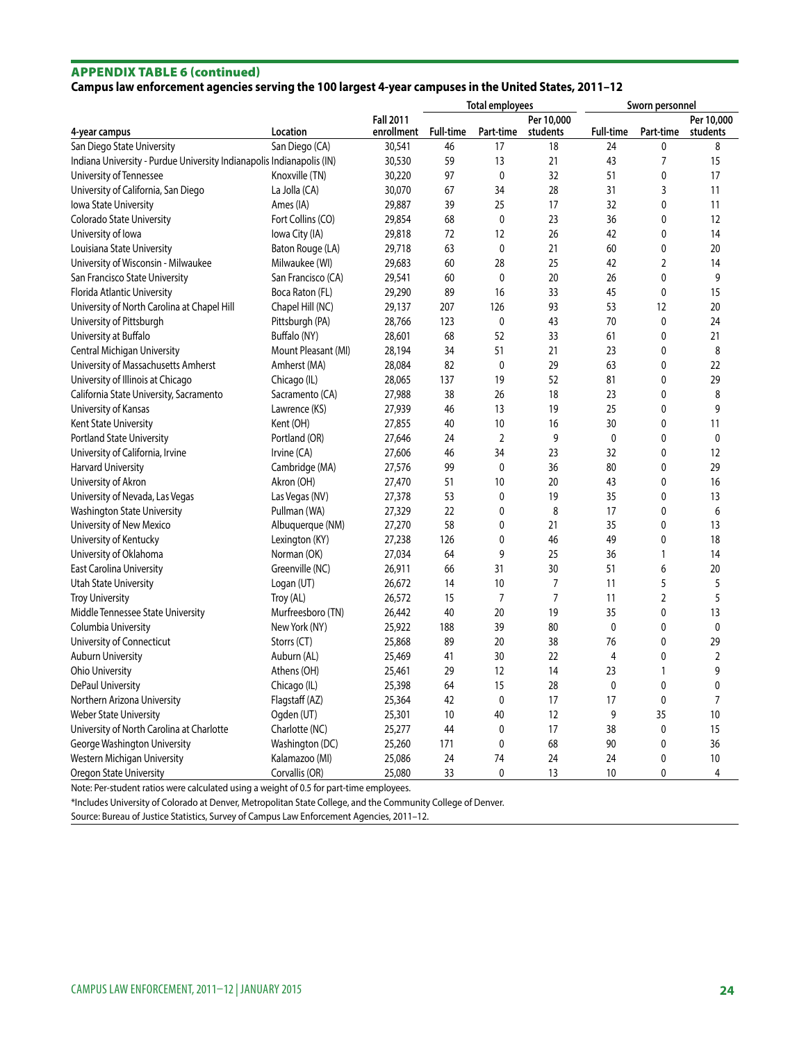# APPENDIX TABLE 6 (continued)

# **Campus law enforcement agencies serving the 100 largest 4-year campuses in the United States, 2011–12**

|                                                                       |                     |                      | <b>Total employees</b> |                |            | Sworn personnel  |                |                |
|-----------------------------------------------------------------------|---------------------|----------------------|------------------------|----------------|------------|------------------|----------------|----------------|
|                                                                       |                     | <b>Fall 2011</b>     |                        |                | Per 10,000 |                  |                | Per 10,000     |
| 4-year campus                                                         | Location            | enrollment Full-time |                        | Part-time      | students   | <b>Full-time</b> | Part-time      | students       |
| San Diego State University                                            | San Diego (CA)      | 30,541               | 46                     | 17             | 18         | 24               | 0              | 8              |
| Indiana University - Purdue University Indianapolis Indianapolis (IN) |                     | 30,530               | 59                     | 13             | 21         | 43               | 7              | 15             |
| University of Tennessee                                               | Knoxville (TN)      | 30,220               | 97                     | $\mathbf 0$    | 32         | 51               | 0              | 17             |
| University of California, San Diego                                   | La Jolla (CA)       | 30,070               | 67                     | 34             | 28         | 31               | 3              | 11             |
| <b>Iowa State University</b>                                          | Ames (IA)           | 29,887               | 39                     | 25             | 17         | 32               | 0              | 11             |
| Colorado State University                                             | Fort Collins (CO)   | 29,854               | 68                     | 0              | 23         | 36               | 0              | 12             |
| University of Iowa                                                    | Iowa City (IA)      | 29,818               | 72                     | 12             | 26         | 42               | 0              | 14             |
| Louisiana State University                                            | Baton Rouge (LA)    | 29,718               | 63                     | $\mathbf 0$    | 21         | 60               | 0              | 20             |
| University of Wisconsin - Milwaukee                                   | Milwaukee (WI)      | 29,683               | 60                     | 28             | 25         | 42               | $\overline{2}$ | 14             |
| San Francisco State University                                        | San Francisco (CA)  | 29,541               | 60                     | 0              | 20         | 26               | 0              | 9              |
| Florida Atlantic University                                           | Boca Raton (FL)     | 29,290               | 89                     | 16             | 33         | 45               | 0              | 15             |
| University of North Carolina at Chapel Hill                           | Chapel Hill (NC)    | 29,137               | 207                    | 126            | 93         | 53               | 12             | 20             |
| University of Pittsburgh                                              | Pittsburgh (PA)     | 28,766               | 123                    | 0              | 43         | 70               | 0              | 24             |
| University at Buffalo                                                 | Buffalo (NY)        | 28,601               | 68                     | 52             | 33         | 61               | 0              | 21             |
| Central Michigan University                                           | Mount Pleasant (MI) | 28,194               | 34                     | 51             | 21         | 23               | 0              | 8              |
| University of Massachusetts Amherst                                   | Amherst (MA)        | 28,084               | 82                     | 0              | 29         | 63               | 0              | 22             |
| University of Illinois at Chicago                                     | Chicago (IL)        | 28,065               | 137                    | 19             | 52         | 81               | 0              | 29             |
| California State University, Sacramento                               | Sacramento (CA)     | 27,988               | 38                     | 26             | 18         | 23               | 0              | 8              |
| University of Kansas                                                  | Lawrence (KS)       | 27,939               | 46                     | 13             | 19         | 25               | 0              | 9              |
| Kent State University                                                 | Kent (OH)           | 27,855               | 40                     | 10             | 16         | 30               | 0              | 11             |
| <b>Portland State University</b>                                      | Portland (OR)       | 27,646               | 24                     | $\mathbf 2$    | 9          | $\mathbf 0$      | 0              | 0              |
| University of California, Irvine                                      | Irvine (CA)         | 27,606               | 46                     | 34             | 23         | 32               | 0              | 12             |
| Harvard University                                                    | Cambridge (MA)      | 27,576               | 99                     | 0              | 36         | 80               | 0              | 29             |
| University of Akron                                                   | Akron (OH)          | 27,470               | 51                     | 10             | 20         | 43               | 0              | 16             |
| University of Nevada, Las Vegas                                       | Las Vegas (NV)      | 27,378               | 53                     | 0              | 19         | 35               | 0              | 13             |
| Washington State University                                           | Pullman (WA)        | 27,329               | 22                     | 0              | 8          | 17               | 0              | 6              |
| University of New Mexico                                              | Albuquerque (NM)    | 27,270               | 58                     | 0              | 21         | 35               | 0              | 13             |
| University of Kentucky                                                | Lexington (KY)      | 27,238               | 126                    | 0              | 46         | 49               | 0              | 18             |
| University of Oklahoma                                                | Norman (OK)         | 27,034               | 64                     | 9              | 25         | 36               | 1              | 14             |
| East Carolina University                                              | Greenville (NC)     | 26,911               | 66                     | 31             | 30         | 51               | 6              | 20             |
| <b>Utah State University</b>                                          | Logan (UT)          | 26,672               | 14                     | 10             | 7          | 11               | 5              | 5              |
| <b>Troy University</b>                                                | Troy (AL)           | 26,572               | 15                     | $\overline{7}$ | 7          | 11               | 2              | 5              |
| Middle Tennessee State University                                     | Murfreesboro (TN)   | 26,442               | 40                     | 20             | 19         | 35               | 0              | 13             |
| Columbia University                                                   | New York (NY)       | 25,922               | 188                    | 39             | 80         | $\mathbf{0}$     | 0              | $\mathbf 0$    |
| University of Connecticut                                             | Storrs (CT)         | 25,868               | 89                     | 20             | 38         | 76               | 0              | 29             |
| <b>Auburn University</b>                                              | Auburn (AL)         | 25,469               | 41                     | 30             | 22         | $\overline{4}$   | 0              | $\overline{2}$ |
| <b>Ohio University</b>                                                | Athens (OH)         | 25,461               | 29                     | 12             | 14         | 23               | 1              | 9              |
| DePaul University                                                     | Chicago (IL)        | 25,398               | 64                     | 15             | 28         | $\mathbf{0}$     | 0              | 0              |
| Northern Arizona University                                           | Flagstaff (AZ)      | 25,364               | 42                     | 0              | 17         | 17               | 0              | $\overline{7}$ |
| <b>Weber State University</b>                                         | Ogden (UT)          | 25,301               | 10                     | 40             | 12         | 9                | 35             | 10             |
| University of North Carolina at Charlotte                             | Charlotte (NC)      | 25,277               | 44                     | 0              | 17         | 38               | $\mathbf 0$    | 15             |
| George Washington University                                          | Washington (DC)     | 25,260               | 171                    | 0              | 68         | 90               | 0              | 36             |
| Western Michigan University                                           | Kalamazoo (MI)      | 25,086               | 24                     | 74             | 24         | 24               | 0              | 10             |
| Oregon State University                                               | Corvallis (OR)      | 25,080               | 33                     | $\Omega$       | 13         | 10               | $\Omega$       | $\overline{4}$ |

Note: Per-student ratios were calculated using a weight of 0.5 for part-time employees.

\*Includes University of Colorado at Denver, Metropolitan State College, and the Community College of Denver.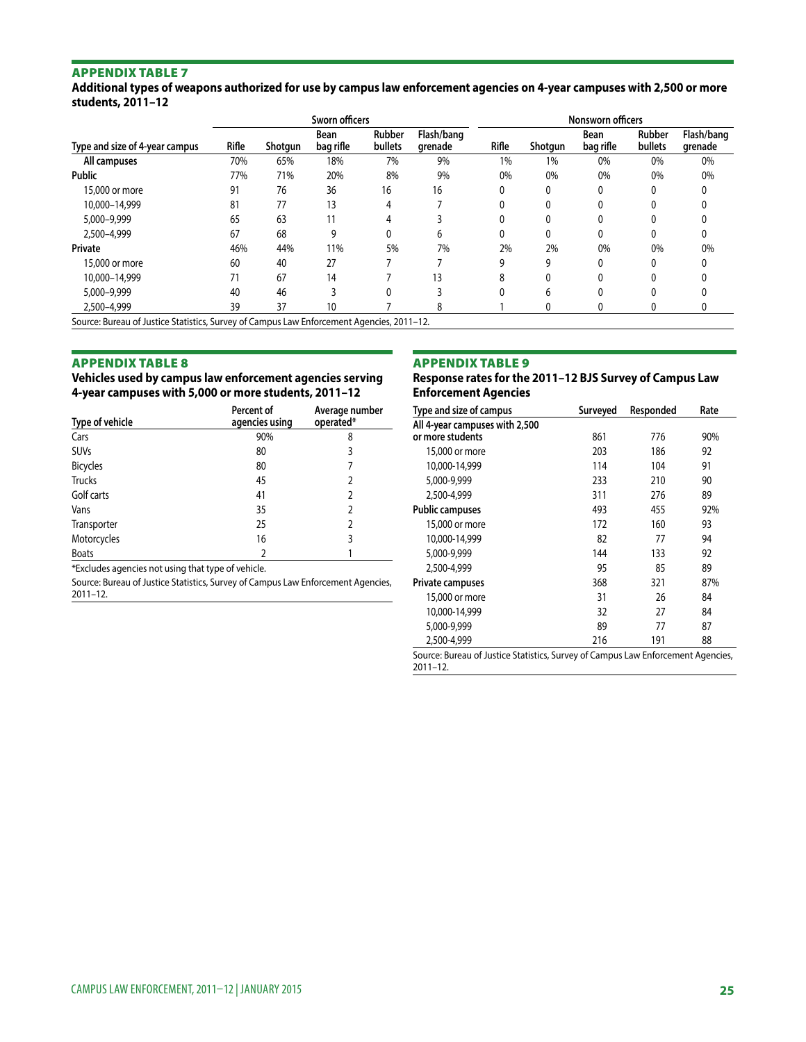**Additional types of weapons authorized for use by campus law enforcement agencies on 4-year campuses with 2,500 or more students, 2011–12**

| Type and size of 4-year campus                                                            | Sworn officers |         |                   |                   |                       | <b>Nonsworn officers</b> |         |                   |                   |                       |
|-------------------------------------------------------------------------------------------|----------------|---------|-------------------|-------------------|-----------------------|--------------------------|---------|-------------------|-------------------|-----------------------|
|                                                                                           | Rifle          | Shotgun | Bean<br>bag rifle | Rubber<br>bullets | Flash/bang<br>grenade | Rifle                    | Shotgun | Bean<br>bag rifle | Rubber<br>bullets | Flash/bang<br>grenade |
| All campuses                                                                              | 70%            | 65%     | 18%               | 7%                | 9%                    | 1%                       | 1%      | 0%                | 0%                | 0%                    |
| <b>Public</b>                                                                             | 77%            | 71%     | 20%               | 8%                | 9%                    | 0%                       | 0%      | 0%                | 0%                | 0%                    |
| 15,000 or more                                                                            | 91             | 76      | 36                | 16                | 16                    |                          |         | 0                 | 0                 |                       |
| 10.000-14.999                                                                             | 81             | 77      | 13                | 4                 |                       |                          |         |                   |                   |                       |
| 5,000-9,999                                                                               | 65             | 63      | 11                |                   |                       |                          |         | ŋ                 |                   |                       |
| 2,500-4,999                                                                               | 67             | 68      | 9                 |                   | h                     |                          |         |                   |                   |                       |
| Private                                                                                   | 46%            | 44%     | 11%               | 5%                | 7%                    | 2%                       | 2%      | 0%                | 0%                | 0%                    |
| 15,000 or more                                                                            | 60             | 40      | 27                |                   |                       | q                        | g       | 0                 | 0                 |                       |
| 10.000-14.999                                                                             | 71             | 67      | 14                |                   | 13                    | 8                        |         |                   |                   |                       |
| 5,000-9,999                                                                               | 40             | 46      |                   |                   |                       |                          |         |                   |                   |                       |
| 2,500-4,999                                                                               | 39             | 37      | 10                |                   | 8                     |                          |         | 0                 | 0                 |                       |
| Source: Bureau of Justice Statistics, Survey of Campus Law Enforcement Agencies, 2011-12. |                |         |                   |                   |                       |                          |         |                   |                   |                       |

#### Appendix table 8

#### **Vehicles used by campus law enforcement agencies serving 4-year campuses with 5,000 or more students, 2011–12**

| Type of vehicle | Percent of<br>agencies using | Average number<br>operated* |
|-----------------|------------------------------|-----------------------------|
| Cars            | 90%                          | 8                           |
| <b>SUVs</b>     | 80                           | 3                           |
| Bicycles        | 80                           | 7                           |
| <b>Trucks</b>   | 45                           | 2                           |
| Golf carts      | 41                           | 2                           |
| Vans            | 35                           | 2                           |
| Transporter     | 25                           | 2                           |
| Motorcycles     | 16                           | 3                           |
| <b>Boats</b>    | 2                            |                             |

\*Excludes agencies not using that type of vehicle.

Source: Bureau of Justice Statistics, Survey of Campus Law Enforcement Agencies, 2011–12.

#### Appendix table 9

#### **Response rates for the 2011–12 BJS Survey of Campus Law Enforcement Agencies**

| Type and size of campus        | Surveyed | Responded | Rate |
|--------------------------------|----------|-----------|------|
| All 4-year campuses with 2,500 |          |           |      |
| or more students               | 861      | 776       | 90%  |
| 15,000 or more                 | 203      | 186       | 92   |
| 10,000-14,999                  | 114      | 104       | 91   |
| 5.000-9.999                    | 233      | 210       | 90   |
| 2.500-4.999                    | 311      | 276       | 89   |
| <b>Public campuses</b>         | 493      | 455       | 92%  |
| 15,000 or more                 | 172      | 160       | 93   |
| 10,000-14,999                  | 82       | 77        | 94   |
| 5,000-9,999                    | 144      | 133       | 92   |
| 2.500-4.999                    | 95       | 85        | 89   |
| Private campuses               | 368      | 321       | 87%  |
| 15,000 or more                 | 31       | 26        | 84   |
| 10.000-14.999                  | 32       | 27        | 84   |
| 5,000-9,999                    | 89       | 77        | 87   |
| 2.500-4.999                    | 216      | 191       | 88   |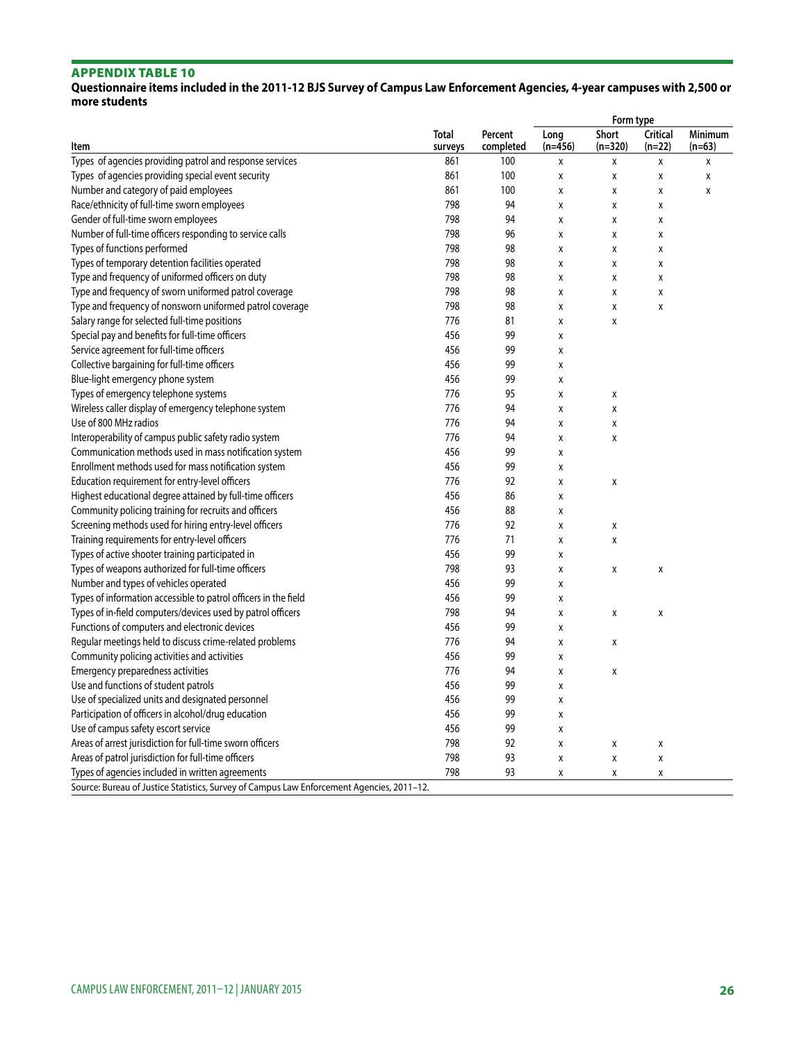# **Questionnaire items included in the 2011-12 BJS Survey of Campus Law Enforcement Agencies, 4-year campuses with 2,500 or more students**

|                                                                                           |                         |                      | Form type                 |                    |                             |                     |  |  |
|-------------------------------------------------------------------------------------------|-------------------------|----------------------|---------------------------|--------------------|-----------------------------|---------------------|--|--|
| Item                                                                                      | <b>Total</b><br>surveys | Percent<br>completed | Long<br>$(n=456)$         | Short<br>$(n=320)$ | <b>Critical</b><br>$(n=22)$ | Minimum<br>$(n=63)$ |  |  |
| Types of agencies providing patrol and response services                                  | 861                     | 100                  | X                         | Χ                  | $\pmb{\mathsf{X}}$          | X                   |  |  |
| Types of agencies providing special event security                                        | 861                     | 100                  | X                         | χ                  | χ                           | X                   |  |  |
| Number and category of paid employees                                                     | 861                     | 100                  | X                         | X                  | X                           | X                   |  |  |
| Race/ethnicity of full-time sworn employees                                               | 798                     | 94                   | $\pmb{\mathsf{X}}$        | X                  | X                           |                     |  |  |
| Gender of full-time sworn employees                                                       | 798                     | 94                   | $\pmb{\mathsf{X}}$        | Χ                  | X                           |                     |  |  |
| Number of full-time officers responding to service calls                                  | 798                     | 96                   | X                         | X                  | χ                           |                     |  |  |
| Types of functions performed                                                              | 798                     | 98                   | X                         | X                  | X                           |                     |  |  |
| Types of temporary detention facilities operated                                          | 798                     | 98                   | X                         | X                  | X                           |                     |  |  |
| Type and frequency of uniformed officers on duty                                          | 798                     | 98                   | $\pmb{\mathsf{X}}$        | X                  | X                           |                     |  |  |
| Type and frequency of sworn uniformed patrol coverage                                     | 798                     | 98                   | X                         | X                  | χ                           |                     |  |  |
| Type and frequency of nonsworn uniformed patrol coverage                                  | 798                     | 98                   | X                         | X                  | χ                           |                     |  |  |
| Salary range for selected full-time positions                                             | 776                     | 81                   | $\mathsf{x}$              | $\mathsf{x}$       |                             |                     |  |  |
| Special pay and benefits for full-time officers                                           | 456                     | 99                   | X                         |                    |                             |                     |  |  |
| Service agreement for full-time officers                                                  | 456                     | 99                   | X                         |                    |                             |                     |  |  |
| Collective bargaining for full-time officers                                              | 456                     | 99                   | X                         |                    |                             |                     |  |  |
| Blue-light emergency phone system                                                         | 456                     | 99                   | $\pmb{\mathsf{X}}$        |                    |                             |                     |  |  |
| Types of emergency telephone systems                                                      | 776                     | 95                   | X                         | χ                  |                             |                     |  |  |
| Wireless caller display of emergency telephone system                                     | 776                     | 94                   | X                         | $\pmb{\chi}$       |                             |                     |  |  |
| Use of 800 MHz radios                                                                     | 776                     | 94                   | X                         | Χ                  |                             |                     |  |  |
| Interoperability of campus public safety radio system                                     | 776                     | 94                   | $\pmb{\mathsf{X}}$        | $\pmb{\chi}$       |                             |                     |  |  |
| Communication methods used in mass notification system                                    | 456                     | 99                   | X                         |                    |                             |                     |  |  |
| Enrollment methods used for mass notification system                                      | 456                     | 99                   | X                         |                    |                             |                     |  |  |
| Education requirement for entry-level officers                                            | 776                     | 92                   | X                         | X                  |                             |                     |  |  |
| Highest educational degree attained by full-time officers                                 | 456                     | 86                   | X                         |                    |                             |                     |  |  |
| Community policing training for recruits and officers                                     | 456                     | 88                   | $\boldsymbol{\mathsf{X}}$ |                    |                             |                     |  |  |
| Screening methods used for hiring entry-level officers                                    | 776                     | 92                   | X                         | Χ                  |                             |                     |  |  |
| Training requirements for entry-level officers                                            | 776                     | 71                   | X                         | $\pmb{\chi}$       |                             |                     |  |  |
| Types of active shooter training participated in                                          | 456                     | 99                   | X                         |                    |                             |                     |  |  |
| Types of weapons authorized for full-time officers                                        | 798                     | 93                   | $\boldsymbol{\mathsf{X}}$ | X                  | X                           |                     |  |  |
| Number and types of vehicles operated                                                     | 456                     | 99                   | X                         |                    |                             |                     |  |  |
| Types of information accessible to patrol officers in the field                           | 456                     | 99                   | X                         |                    |                             |                     |  |  |
| Types of in-field computers/devices used by patrol officers                               | 798                     | 94                   | X                         | χ                  | χ                           |                     |  |  |
| Functions of computers and electronic devices                                             | 456                     | 99                   | X                         |                    |                             |                     |  |  |
| Regular meetings held to discuss crime-related problems                                   | 776                     | 94                   | X                         | χ                  |                             |                     |  |  |
| Community policing activities and activities                                              | 456                     | 99                   | X                         |                    |                             |                     |  |  |
| Emergency preparedness activities                                                         | 776                     | 94                   | X                         | X                  |                             |                     |  |  |
| Use and functions of student patrols                                                      | 456                     | 99                   | X                         |                    |                             |                     |  |  |
| Use of specialized units and designated personnel                                         | 456                     | 99                   | X                         |                    |                             |                     |  |  |
| Participation of officers in alcohol/drug education                                       | 456                     | 99                   | X                         |                    |                             |                     |  |  |
| Use of campus safety escort service                                                       | 456                     | 99                   | X                         |                    |                             |                     |  |  |
| Areas of arrest jurisdiction for full-time sworn officers                                 | 798                     | 92                   | $\pmb{\mathsf{X}}$        | X                  | X                           |                     |  |  |
| Areas of patrol jurisdiction for full-time officers                                       | 798                     | 93                   | X                         | X                  | χ                           |                     |  |  |
| Types of agencies included in written agreements                                          | 798                     | 93                   | X                         | X                  | χ                           |                     |  |  |
| Source: Bureau of Justice Statistics, Survey of Campus Law Enforcement Agencies, 2011-12. |                         |                      |                           |                    |                             |                     |  |  |